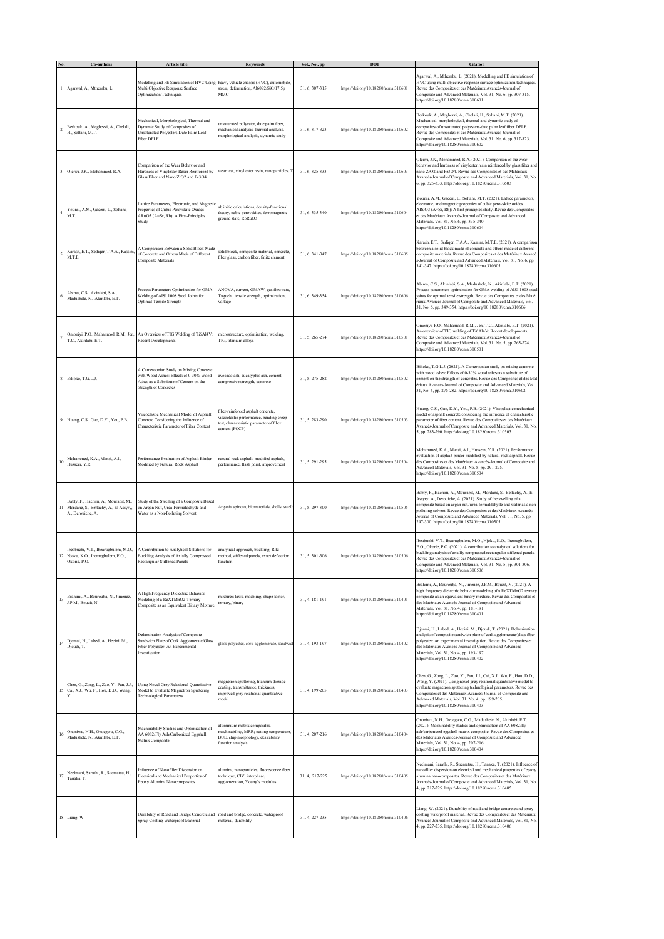|                | Co-authors                                                                                            | Article title                                                                                                                                              | Keywords                                                                                                                                   | Vol., No., pp. | DOI                                  | Citation                                                                                                                                                                                                                                                                                                                                                                                            |
|----------------|-------------------------------------------------------------------------------------------------------|------------------------------------------------------------------------------------------------------------------------------------------------------------|--------------------------------------------------------------------------------------------------------------------------------------------|----------------|--------------------------------------|-----------------------------------------------------------------------------------------------------------------------------------------------------------------------------------------------------------------------------------------------------------------------------------------------------------------------------------------------------------------------------------------------------|
|                | Agarwal, A., Mthembu, L.                                                                              | Modelling and FE Simulation of HVC Using heavy vehicle chassis (HVC), automobile<br>Multi Objective Response Surface<br><b>Optimization Techniques</b>     | stress, deformation, Al6092/SiC/17.5p<br>MMC                                                                                               | 31, 6, 307-315 | https://doi.org/10.18280/rcma.310601 | Agarwal, A., Mthembu, L. (2021). Modelling and FE simulation of<br>HVC using multi objective response surface optimization techniques.<br>Revue des Composites et des Matériaux Avancés-Journal of<br>Composite and Advanced Materials, Vol. 31, No. 6, pp. 307-315.<br>https://doi.org/10.18280/rcma.310601                                                                                        |
| $\overline{2}$ | Berkouk, A., Meghezzi, A., Chelali,<br>H., Soltani, M.T.                                              | Mechanical, Morphological, Thermal and<br>Dynamic Study of Composites of<br>Unsaturated Polyesters-Date Palm Leaf<br>Fiber DPLF                            | unsaturated polyester, date palm fiber,<br>mechanical analysis, thermal analysis,<br>morphological analysis, dynamic study                 | 31, 6, 317-323 | https://doi.org/10.18280/rcma.310602 | Berkouk, A., Meghezzi, A., Chelali, H., Soltani, M.T. (2021).<br>Mechanical, morphological, thermal and dynamic study of<br>composites of unsaturated polyesters-date palm leaf fiber DPLF.<br>Revue des Composites et des Matériaux Avancés-Journal of<br>Composite and Advanced Materials, Vol. 31, No. 6, pp. 317-323.<br>https://doi.org/10.18280/rcma.310602                                   |
|                | 3 Oleiwi, J.K., Mohammed, R.A.                                                                        | Comparison of the Wear Behavior and<br>Hardness of Vinylester Resin Reinforced by<br>Glass Fiber and Nano ZrO2 and Fe3O4                                   | wear test, vinyl ester resin, nanoparticles,                                                                                               | 31, 6, 325-333 | https://doi.org/10.18280/rcma.310603 | Oleiwi, J.K., Mohammed, R.A. (2021). Comparison of the wear<br>behavior and hardness of vinylester resin reinforced by glass fiber and<br>nano ZrO2 and Fe3O4. Revue des Composites et des Matériaux<br>Avancés-Journal of Composite and Advanced Materials, Vol. 31, No.<br>6, pp. 325-333. https://doi.org/10.18280/rcma.310603                                                                   |
| $\overline{4}$ | Younsi, A.M., Gacem, L., Soltani,<br>M.T.                                                             | Lattice Parameters, Electronic, and Magneti<br>Properties of Cubic Perovskite Oxides<br>ARuO3 (A=Sr, Rb): A First-Principles<br>Study                      | ab initio calculations, density-functional<br>theory, cubic perovskites, ferromagnetic<br>ground state, RbRuO3                             | 31, 6, 335-340 | https://doi.org/10.18280/rcma.310604 | Younsi, A.M., Gacem, L., Soltani, M.T. (2021). Lattice parameters,<br>electronic, and magnetic properties of cubic perovskite oxides<br>ARuO3 (A=Sr, Rb): A first principles study. Revue des Composites<br>et des Matériaux Avancés-Journal of Composite and Advanced<br>Materials, Vol. 31, No. 6, pp. 335-340.<br>https://doi.org/10.18280/rcma.310604                                           |
| 5              | Karash, E.T., Sediqer, T.A.A., Kassim,<br>M.T.E.                                                      | A Comparison Between a Solid Block Made<br>of Concrete and Others Made of Different<br>Composite Materials                                                 | solid block, composite material, concrete,<br>fiber glass, carbon fiber, finite element                                                    | 31, 6, 341-347 | https://doi.org/10.18280/rcma.310605 | Karash, E.T., Sediqer, T.A.A., Kassim, M.T.E. (2021). A comparison<br>between a solid block made of concrete and others made of different<br>composite materials. Revue des Composites et des Matériaux Avancé<br>s-Journal of Composite and Advanced Materials, Vol. 31, No. 6, pp.<br>341-347. https://doi.org/10.18280/rcma.310605                                                               |
| 6              | Abima, C.S., Akinlabi, S.A.,<br>Madushele, N., Akinlabi, E.T.                                         | Process Parameters Optimization for GMA<br>Welding of AISI 1008 Steel Joints for<br>Optimal Tensile Strength                                               | ANOVA, current, GMAW, gas flow rate,<br>Taguchi, tensile strength, optimization,<br>voltage                                                | 31, 6, 349-354 | https://doi.org/10.18280/rcma.310606 | Abima, C.S., Akinlabi, S.A., Madushele, N., Akinlabi, E.T. (2021).<br>Process parameters optimization for GMA welding of AISI 1008 steel<br>joints for optimal tensile strength. Revue des Composites et des Maté<br>riaux Avancés-Journal of Composite and Advanced Materials, Vol.<br>31, No. 6, pp. 349-354. https://doi.org/10.18280/rcma.310606                                                |
|                | T.C., Akinlabi, E.T.                                                                                  | Omoniyi, P.O., Mahamood, R.M., Jen, An Overview of TIG Welding of Ti6Al4V:<br><b>Recent Developments</b>                                                   | microstructure, optimization, welding,<br>TIG, titanium alloys                                                                             | 31, 5, 265-274 | https://doi.org/10.18280/rcma.310501 | Omoniyi, P.O., Mahamood, R.M., Jen, T.C., Akinlabi, E.T. (2021).<br>An overview of TIG welding of Ti6Al4V: Recent developments.<br>Revue des Composites et des Matériaux Avancés-Journal of<br>Composite and Advanced Materials, Vol. 31, No. 5, pp. 265-274.<br>https://doi.org/10.18280/rcma.310501                                                                                               |
|                | 8 Bikoko, T.G.L.J.                                                                                    | A Cameroonian Study on Mixing Concrete<br>with Wood Ashes: Effects of 0-30% Wood<br>Ashes as a Substitute of Cement on the<br><b>Strength of Concretes</b> | avocado ash, eucalyptus ash, cement,<br>compressive strength, concrete                                                                     | 31, 5, 275-282 | https://doi.org/10.18280/rcma.310502 | Bikoko, T.G.L.J. (2021). A Cameroonian study on mixing concrete<br>with wood ashes: Effects of 0-30% wood ashes as a substitute of<br>cement on the strength of concretes. Revue des Composites et des Mat<br>ériaux Avancés-Journal of Composite and Advanced Materials, Vol.<br>31, No. 5, pp. 275-282. https://doi.org/10.18280/rcma.310502                                                      |
|                | 9 Huang, C.S., Gao, D.Y., You, P.B.                                                                   | Viscoelastic Mechanical Model of Asphalt<br>Concrete Considering the Influence of<br>Characteristic Parameter of Fiber Content                             | fiber-reinforced asphalt concrete,<br>viscoelastic performance, bending creep<br>test, characteristic parameter of fiber<br>content (FCCP) | 31, 5, 283-290 | https://doi.org/10.18280/rcma.310503 | Huang, C.S., Gao, D.Y., You, P.B. (2021). Viscoelastic mechanical<br>model of asphalt concrete considering the influence of characteristic<br>parameter of fiber content. Revue des Composites et des Matériaux<br>Avancés-Journal of Composite and Advanced Materials, Vol. 31, No.<br>5, pp. 283-290. https://doi.org/10.18280/rcma.310503                                                        |
| 10             | Mohammed, K.A., Mansi, A.I.,<br>Hussein, Y.R.                                                         | Performance Evaluation of Asphalt Binder<br>Modified by Natural Rock Asphalt                                                                               | natural rock asphalt, modified asphalt,<br>performance, flash point, improvement                                                           | 31, 5, 291-295 | https://doi.org/10.18280/rcma.310504 | Mohammed, K.A., Mansi, A.I., Hussein, Y.R. (2021). Performance<br>evaluation of asphalt binder modified by natural rock asphalt. Revue<br>des Composites et des Matériaux Avancés-Journal of Composite and<br>Advanced Materials, Vol. 31, No. 5, pp. 291-295.<br>https://doi.org/10.18280/rcma.310504                                                                                              |
|                | Babty, F., Hachim, A., Mourabit, M.,<br>11 Mordane, S., Bettachy, A., El Assyry,<br>A., Derouiche, A. | Study of the Swelling of a Composite Based<br>on Argan Nut, Urea-Formaldehyde and<br>Water as a Non-Polluting Solvent                                      | Argania spinosa, biomaterials, shells, swell                                                                                               | 31, 5, 297-300 | https://doi.org/10.18280/rcma.310505 | Babty, F., Hachim, A., Mourabit, M., Mordane, S., Bettachy, A., El<br>Assyry, A., Derouiche, A. (2021). Study of the swelling of a<br>composite based on argan nut, urea-formaldehyde and water as a non-<br>polluting solvent. Revue des Composites et des Matériaux Avancés-<br>Journal of Composite and Advanced Materials, Vol. 31, No. 5, pp.<br>297-300. https://doi.org/10.18280/rcma.310505 |
|                | 12 Njoku, K.O., Ihemegbulem, E.O.,<br>Okorie, P.O.                                                    | Ibeabuchi, V.T., Ibearugbulem, M.O., A Contribution to Analytical Solutions for<br>Buckling Analysis of Axially Compressed<br>Rectangular Stiffened Panels | analytical approach, buckling, Ritz<br>method, stiffened panels, exact deflection<br>unction                                               | 31, 5, 301-306 | https://doi.org/10.18280/rcma.310506 | Ibeabuchi, V.T., Ibearugbulem, M.O., Njoku, K.O., Ihemegbulem,<br>E.O., Okorie, P.O. (2021). A contribution to analytical solutions for<br>buckling analysis of axially compressed rectangular stiffened panels.<br>Revue des Composites et des Matériaux Avancés-Journal of<br>Composite and Advanced Materials, Vol. 31, No. 5, pp. 301-306.<br>https://doi.org/10.18280/rcma.310506              |
|                | 13 Brahimi, A., Bourouba, N., Jiménez,<br>J.P.M., Bouzit, N.                                          | A High Frequency Dielectric Behavior<br>Modeling of a ReXTMnO2 Temary<br>Composite as an Equivalent Binary Mixture                                         | mixture's laws, modeling, shape factor,<br>ternary, binary                                                                                 | 31, 4, 181-191 | https://doi.org/10.18280/rcma.310401 | Brahimi, A., Bourouba, N., Jiménez, J.P.M., Bouzit, N. (2021). A<br>high frequency dielectric behavior modeling of a ReXTMnO2 ternary<br>composite as an equivalent binary mixture. Revue des Composites et<br>des Matériaux Avancés-Journal of Composite and Advanced<br>Materials, Vol. 31, No. 4, pp. 181-191.<br>https://doi.org/10.18280/rcma.310401                                           |
|                | 14 Djemai, H., Labed, A., Hecini, M.,<br>Djoudi, T.                                                   | Delamination Analysis of Composite<br>Sandwich Plate of Cork Agglomerate/Glass<br>Fiber-Polyester: An Experimental<br>Investigation                        | glass-polyester, cork agglomerate, sandwich                                                                                                | 31, 4, 193-197 | https://doi.org/10.18280/rcma.310402 | Djemai, H., Labed, A., Hecini, M., Djoudi, T. (2021). Delamination<br>analysis of composite sandwich plate of cork agglomerate/glass fiber-<br>polyester: An experimental investigation. Revue des Composites et<br>des Matériaux Avancés-Journal of Composite and Advanced<br>Materials, Vol. 31, No. 4, pp. 193-197.<br>https://doi.org/10.18280/rcma.310402                                      |
|                | Chen, G., Zong, L., Zuo, Y., Pan, J.J.,<br>15 Cai, X.J., Wu, F., Hou, D.D., Wang,<br>Y.               | Using Novel Grey Relational Quantitative<br>Model to Evaluate Magnetron Sputtering<br><b>Technological Parameters</b>                                      | magnetron sputtering, titanium dioxide<br>coating, transmittance, thickness.<br>improved grey relational quantitative<br>model             | 31, 4, 199-205 | https://doi.org/10.18280/rcma.310403 | Chen, G., Zong, L., Zuo, Y., Pan, J.J., Cai, X.J., Wu, F., Hou, D.D.,<br>Wang, Y. (2021). Using novel grey relational quantitative model to<br>evaluate magnetron sputtering technological parameters. Revue des<br>Composites et des Matériaux Avancés-Journal of Composite and<br>Advanced Materials, Vol. 31, No. 4, pp. 199-205.<br>https://doi.org/10.18280/rcma.310403                        |
| 16             | Ononiwu, N.H., Ozoegwu, C.G.,<br>Madushele, N., Akinlabi, E.T.                                        | Machinability Studies and Optimization of<br>AA 6082/Fly Ash/Carbonized Eggshell<br>Matrix Composite                                                       | aluminium matrix composites,<br>machinability, MRR; cutting temperature,<br>BUE, chip morphology, desirability<br>function analysis        | 31, 4, 207-216 | https://doi.org/10.18280/rcma.310404 | Ononiwu, N.H., Ozoegwu, C.G., Madushele, N., Akinlabi, E.T.<br>(2021). Machinability studies and optimization of AA 6082/fly<br>ash/carbonized eggshell matrix composite. Revue des Composites et<br>des Matériaux Avancés-Journal of Composite and Advanced<br>Materials, Vol. 31, No. 4, pp. 207-216.<br>https://doi.org/10.18280/rcma.310404                                                     |
| 17             | Neelmani, Sarathi, R., Suematsu, H.,<br>Tanaka, T.                                                    | Influence of Nanofiller Dispersion on<br>Electrical and Mechanical Properties of<br>Epoxy Alumina Nanocomposites                                           | alumina, nanoparticles, fluorescence fiber<br>technique, CIV, interphase,<br>agglomeration, Young's modulus                                | 31, 4, 217-225 | https://doi.org/10.18280/rcma.310405 | Neelmani, Sarathi, R., Suematsu, H., Tanaka, T. (2021). Influence of<br>nanofiller dispersion on electrical and mechanical properties of epoxy<br>alumina nanocomposites. Revue des Composites et des Matériaux<br>Avancés-Journal of Composite and Advanced Materials, Vol. 31, No.<br>4, pp. 217-225. https://doi.org/10.18280/rcma.310405                                                        |
|                | 18 Liang, W.                                                                                          | Durability of Road and Bridge Concrete and<br>Spray-Coating Waterproof Material                                                                            | road and bridge, concrete, waterproof<br>material, durability                                                                              | 31, 4, 227-235 | https://doi.org/10.18280/rcma.310406 | Liang, W. (2021). Durability of road and bridge concrete and spray-<br>coating waterproof material. Revue des Composites et des Matériaux<br>Avancés-Journal of Composite and Advanced Materials, Vol. 31, No.<br>4, pp. 227-235. https://doi.org/10.18280/rcma.310406                                                                                                                              |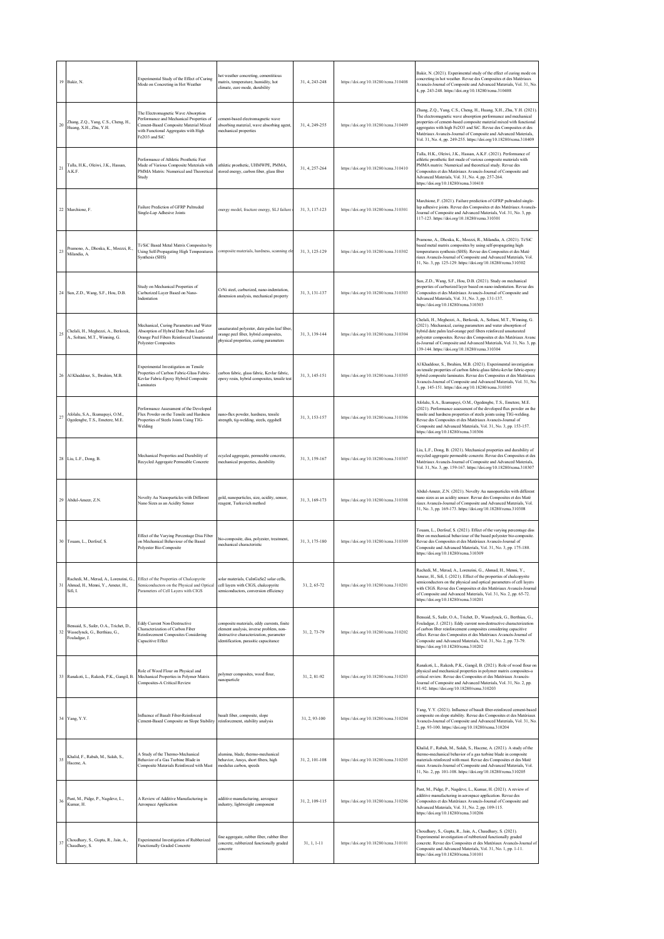|    | 19 Bakir, N.                                                                             | Experimental Study of the Effect of Curing<br>Mode on Concreting in Hot Weather                                                                                                   | hot weather concreting, cementitious<br>matrix, temperature, humidity, hot<br>climate, cure mode, durability                                                              | 31, 4, 243-248 | https://doi.org/10.18280/rcma.310408 | Bakir, N. (2021). Experimental study of the effect of curing mode on<br>concreting in hot weather. Revue des Composites et des Matériaux<br>Avancés-Journal of Composite and Advanced Materials, Vol. 31, No.<br>4, pp. 243-248. https://doi.org/10.18280/rcma.310408                                                                                                                                                 |
|----|------------------------------------------------------------------------------------------|-----------------------------------------------------------------------------------------------------------------------------------------------------------------------------------|---------------------------------------------------------------------------------------------------------------------------------------------------------------------------|----------------|--------------------------------------|-----------------------------------------------------------------------------------------------------------------------------------------------------------------------------------------------------------------------------------------------------------------------------------------------------------------------------------------------------------------------------------------------------------------------|
| 20 | Zhang, Z.Q., Yang, C.S., Cheng, H.,<br>Huang, X.H., Zhu, Y.H.                            | The Electromagnetic Wave Absorption<br>Performance and Mechanical Properties of<br>Cement-Based Composite Material Mixed<br>with Functional Aggregates with High<br>Fe2O3 and SiC | cement-based electromagnetic wave<br>absorbing material, wave absorbing agent,<br>mechanical properties                                                                   | 31, 4, 249-255 | https://doi.org/10.18280/rcma.310409 | Zhang, Z.Q., Yang, C.S., Cheng, H., Huang, X.H., Zhu, Y.H. (2021).<br>The electromagnetic wave absorption performance and mechanical<br>properties of cement-based composite material mixed with functional<br>aggregates with high Fe2O3 and SiC. Revue des Composites et des<br>Matériaux Avancés-Journal of Composite and Advanced Materials,<br>Vol. 31, No. 4, pp. 249-255. https://doi.org/10.18280/rcma.310409 |
| 21 | Talla, H.K., Olciwi, J.K., Hassan,<br>A.K.F.                                             | Performance of Athletic Prosthetic Feet<br>Made of Various Composite Materials with<br>PMMA Matrix: Numerical and Theoretical<br>Study                                            | athletic prosthetic, UHMWPE, PMMA,<br>stored energy, carbon fiber, glass fiber                                                                                            | 31, 4, 257-264 | https://doi.org/10.18280/rcma.310410 | Talla, H.K., Oleiwi, J.K., Hassan, A.K.F. (2021). Performance of<br>athletic prosthetic feet made of various composite materials with<br>PMMA matrix: Numerical and theoretical study. Revue des<br>Composites et des Matériaux Avancés-Journal of Composite and<br>Advanced Materials, Vol. 31, No. 4, pp. 257-264.<br>https://doi.org/10.18280/rcma.310410                                                          |
|    | 22 Marchione, F.                                                                         | Failure Prediction of GFRP Pultruded<br>Single-Lap Adhesive Joints                                                                                                                | energy model, fracture energy, SLJ failure                                                                                                                                | 31.3.117-123   | https://doi.org/10.18280/rcma.310301 | Marchione, F. (2021). Failure prediction of GFRP pultruded single-<br>lap adhesive joints. Revue des Composites et des Matériaux Avancés-<br>Journal of Composite and Advanced Materials, Vol. 31, No. 3, pp.<br>117-123. https://doi.org/10.18280/rcma.310301                                                                                                                                                        |
| 23 | Pramono, A., Dhoska, K., Moezzi, R.,<br>Milandia, A.                                     | Ti/SiC Based Metal Matrix Composites by<br>Using Self-Propagating High Temperatures<br>Synthesis (SHS)                                                                            | composite materials, hardness, scanning el-                                                                                                                               | 31, 3, 125-129 | https://doi.org/10.18280/rcma.310302 | Pramono, A., Dhoska, K., Moezzi, R., Milandia, A. (2021). Ti/SiC<br>based metal matrix composites by using self-propagating high<br>temperatures synthesis (SHS). Revue des Composites et des Maté<br>riaux Avancés-Journal of Composite and Advanced Materials, Vol.<br>31, No. 3, pp. 125-129. https://doi.org/10.18280/rcma.310302                                                                                 |
|    | 24 Sun, Z.D., Wang, S.F., Hou, D.B.                                                      | Study on Mechanical Properties of<br>Carburized Layer Based on Nano-<br>Indentation                                                                                               | CrNi steel, carburized, nano-indentation,<br>dimension analysis, mechanical property                                                                                      | 31, 3, 131-137 | https://doi.org/10.18280/rcma.310303 | Sun, Z.D., Wang, S.F., Hou, D.B. (2021). Study on mechanical<br>properties of carburized laver based on nano-indentation. Revue des<br>Composites et des Matériaux Avancés-Journal of Composite and<br>Advanced Materials, Vol. 31, No. 3, pp. 131-137.<br>https://doi.org/10.18280/rcma.310303                                                                                                                       |
| 25 | Chelali, H., Meghezzi, A., Berkouk,<br>A., Soltani, M.T., Winning, G.                    | Mechanical, Curing Parameters and Water<br>Absorption of Hybrid Date Palm Leaf-<br>Orange Peel Fibers Reinforced Unsaturated<br><b>Polyester Composites</b>                       | unsaturated polyester, date palm leaf fiber<br>orange peel fiber, hybrid composites,<br>physical properties, curing parameters                                            | 31, 3, 139-144 | https://doi.org/10.18280/rcma.310304 | Chelali, H., Meghezzi, A., Berkouk, A., Soltani, M.T., Winning, G.<br>(2021). Mechanical, curing parameters and water absorption of<br>hybrid date palm leaf-orange peel fibers reinforced unsaturated<br>polyester composites. Revue des Composites et des Matériaux Avanc<br>és-Journal of Composite and Advanced Materials, Vol. 31, No. 3, pp.<br>139-144. https://doi.org/10.18280/rcma.310304                   |
|    | 26 Al Khaddour, S., Ibrahim, M.B.                                                        | Experimental Investigation on Tensile<br>Properties of Carbon Fabric-Glass Fabric-<br>Kevlar Fabric-Epoxy Hybrid Composite<br>Laminates                                           | carbon fabric, glass fabric, Kevlar fabric,<br>epoxy resin, hybrid composites, tensile test                                                                               | 31, 3, 145-151 | https://doi.org/10.18280/rcma.310305 | Al Khaddour, S., Ibrahim, M.B. (2021). Experimental investigation<br>on tensile properties of carbon fabric-glass fabric-kevlar fabric-epoxy<br>hybrid composite laminates. Revue des Composites et des Matériaux<br>Avancés-Journal of Composite and Advanced Materials, Vol. 31, No.<br>3, pp. 145-151. https://doi.org/10.18280/rcma.310305                                                                        |
| 27 | Afolalu, S.A., Ikumapayi, O.M.,<br>Ogedengbe, T.S., Emetere, M.E.                        | Performance Assessment of the Developed<br>Flux Powder on the Tensile and Hardness<br>Properties of Steels Joints Using TIG-<br>Welding                                           | nano-flux powder, hardness, tensile<br>strength, tig-welding, steels, eggshell                                                                                            | 31, 3, 153-157 | https://doi.org/10.18280/rcma.310306 | Afolalu, S.A., Ikumapayi, O.M., Ogedengbe, T.S., Emetere, M.E.<br>(2021). Performance assessment of the developed flux powder on the<br>tensile and hardness properties of steels joints using TIG-welding.<br>Revue des Composites et des Matériaux Avancés-Journal of<br>Composite and Advanced Materials, Vol. 31, No. 3, pp. 153-157.<br>https://doi.org/10.18280/rcma.310306                                     |
|    | 28 Liu, L.F., Dong, B.                                                                   | Mechanical Properties and Durability of<br>Recycled Aggregate Permeable Concrete                                                                                                  | ecycled aggregate, permeable concrete,<br>mechanical properties, durability                                                                                               | 31, 3, 159-167 | https://doi.org/10.18280/rcma.310307 | Liu, L.F., Dong, B. (2021). Mechanical properties and durability of<br>recycled aggregate permeable concrete. Revue des Composites et des<br>Matériaux Avancés-Journal of Composite and Advanced Materials,<br>Vol. 31, No. 3, pp. 159-167. https://doi.org/10.18280/rcma.310307                                                                                                                                      |
|    | 29 Abdul-Ameer, Z.N.                                                                     | Novelty Au Nanoparticles with Different<br>Nano Sizes as an Acidity Sensor                                                                                                        | gold, nanoparticles, size, acidity, sensor,<br>reagent. Turkuvich method                                                                                                  | 31, 3, 169-173 | https://doi.org/10.18280/rcma.310308 | Abdul-Ameer, Z.N. (2021). Novelty Au nanoparticles with different<br>nano sizes as an acidity sensor. Revue des Composites et des Maté<br>riaux Avancés-Journal of Composite and Advanced Materials, Vol.<br>31, No. 3, pp. 169-173. https://doi.org/10.18280/rcma.310308                                                                                                                                             |
|    | 30 Touam, L., Derfouf, S.                                                                | Effect of the Varying Percentage Diss Fiber<br>on Mechanical Behaviour of the Based<br>Polyester Bio-Composite                                                                    | bio-composite, diss, polyester, treatment,<br>mechanical characteristic                                                                                                   | 31, 3, 175-180 | https://doi.org/10.18280/rcma.310309 | Touam, L., Derfouf, S. (2021). Effect of the varying percentage diss<br>fiber on mechanical behaviour of the based polyester bio-composite.<br>Revue des Composites et des Matériaux Avancés-Journal of<br>Composite and Advanced Materials, Vol. 31, No. 3, pp. 175-180.<br>https://doi.org/10.18280/rcma.310309                                                                                                     |
|    | Rachedi, M., Merad, A., Lorenzini, G.<br>31 Ahmad, H., Menni, Y., Ameur, H.,<br>Sifi. I. | Effect of the Properties of Chalcopyrite<br>Semiconductors on the Physical and Optical<br>Parameters of Cell Layers with CIGS                                                     | solar materials, CuInGaSe2 solar cells,<br>cell layers with CIGS, chalcopyrite<br>semiconductors, conversion efficiency                                                   | 31, 2, 65-72   | https://doi.org/10.18280/rcma.310201 | Rachedi, M., Merad, A., Lorenzini, G., Ahmad, H., Menni, Y.,<br>Ameur, H., Sifi, I. (2021). Effect of the properties of chalcopyrite<br>semiconductors on the physical and optical parameters of cell layers<br>with CIGS. Revue des Composites et des Matériaux Avancés-Journal<br>of Composite and Advanced Materials, Vol. 31, No. 2, pp. 65-72.<br>https://doi.org/10.18280/rcma.310201                           |
| 32 | Bensaid, S., Safer, O.A., Trichet, D.,<br>Wasselynck, G., Berthiau, G.,<br>Fouladgar, J. | <b>Eddy Current Non-Destructive</b><br>Characterization of Carbon Fiber<br>Reinforcement Composites Considering<br>Capacitive Effect                                              | composite materials, eddy currents, finite<br>element analysis, inverse problem, non-<br>destructive characterization, parameter<br>identification, parasitic capacitance | 31, 2, 73-79   | https://doi.org/10.18280/rcma.310202 | Bensaid, S., Safer, O.A., Trichet, D., Wasselynck, G., Berthiau, G.,<br>Fouladgar, J. (2021). Eddy current non-destructive characterization<br>of carbon fiber reinforcement composites considering capacitive<br>effect. Revue des Composites et des Matériaux Avancés-Journal of<br>Composite and Advanced Materials, Vol. 31, No. 2, pp. 73-79.<br>https://doi.org/10.18280/rcma.310202                            |
|    | 33 Ranakoti, L., Rakesh, P.K., Gangil, B.                                                | Role of Wood Flour on Physical and<br>Mechanical Properties in Polymer Matrix<br>Composites-A Critical Review                                                                     | polymer composites, wood flour,<br>nanoparticle                                                                                                                           | 31, 2, 81-92   | https://doi.org/10.18280/rcma.310203 | Ranakoti, L., Rakesh, P.K., Gangil, B. (2021). Role of wood flour on<br>physical and mechanical properties in polymer matrix composites-a<br>critical review. Revue des Composites et des Matériaux Avancés-<br>Journal of Composite and Advanced Materials, Vol. 31, No. 2, pp.<br>81-92. https://doi.org/10.18280/rcma.310203                                                                                       |
|    | 34 Yang, Y.Y.                                                                            | Influence of Basalt Fiber-Reinforced<br>Cement-Based Composite on Slope Stability reinforcement, stability analysis                                                               | basalt fiber, composite, slope                                                                                                                                            | 31, 2, 93-100  | https://doi.org/10.18280/rcma.310204 | Yang, Y.Y. (2021). Influence of basalt fiber-reinforced cement-based<br>composite on slope stability. Revue des Composites et des Matériaux<br>Avancés-Journal of Composite and Advanced Materials, Vol. 31, No.<br>2, pp. 93-100. https://doi.org/10.18280/rcma.310204                                                                                                                                               |
|    | 35 Khalid, F., Rabah, M., Salah, S.,<br>Hacene, A.                                       | A Study of the Thermo-Mechanical<br>Behavior of a Gas Turbine Blade in<br>Composite Materials Reinforced with Mast                                                                | alumina, blade, thermo-mechanical<br>behavior, Ansys, short fibers, high<br>modulus carbon, speeds                                                                        | 31, 2, 101-108 | https://doi.org/10.18280/rcma.310205 | Khalid, F., Rabah, M., Salah, S., Hacene, A. (2021). A study of the<br>thermo-mechanical behavior of a gas turbine blade in composite<br>materials reinforced with mast. Revue des Composites et des Maté<br>riaux Avancés-Journal of Composite and Advanced Materials, Vol.<br>31, No. 2, pp. 101-108. https://doi.org/10.18280/rcma.310205                                                                          |
| 36 | Pant, M., Pidge, P., Nagdeve, L.,<br>Kumar, H.                                           | A Review of Additive Manufacturing in<br>Aerospace Application                                                                                                                    | additive manufacturing, aerospace<br>industry, lightweight component                                                                                                      | 31, 2, 109-115 | https://doi.org/10.18280/rcma.310206 | Pant, M., Pidge, P., Nagdeve, L., Kumar, H. (2021). A review of<br>additive manufacturing in aerospace application. Revue des<br>Composites et des Matériaux Avancés-Journal of Composite and<br>Advanced Materials, Vol. 31, No. 2, pp. 109-115.<br>https://doi.org/10.18280/rcma.310206                                                                                                                             |
|    | Choudhary, S., Gupta, R., Jain, A.,<br>Chaudhary, S.                                     | Experimental Investigation of Rubberized<br><b>Functionally Graded Concrete</b>                                                                                                   | fine aggregate, rubber fiber, rubber fiber<br>concrete, rubberized functionally graded<br>concrete                                                                        | $31, 1, 1-11$  | https://doi.org/10.18280/rcma.310101 | Choudhary, S., Gupta, R., Jain, A., Chaudhary, S. (2021).<br>Experimental investigation of rubberized functionally graded<br>concrete. Revue des Composites et des Matériaux Avancés-Journal of<br>Composite and Advanced Materials, Vol. 31, No. 1, pp. 1-11.<br>https://doi.org/10.18280/rcma.310101                                                                                                                |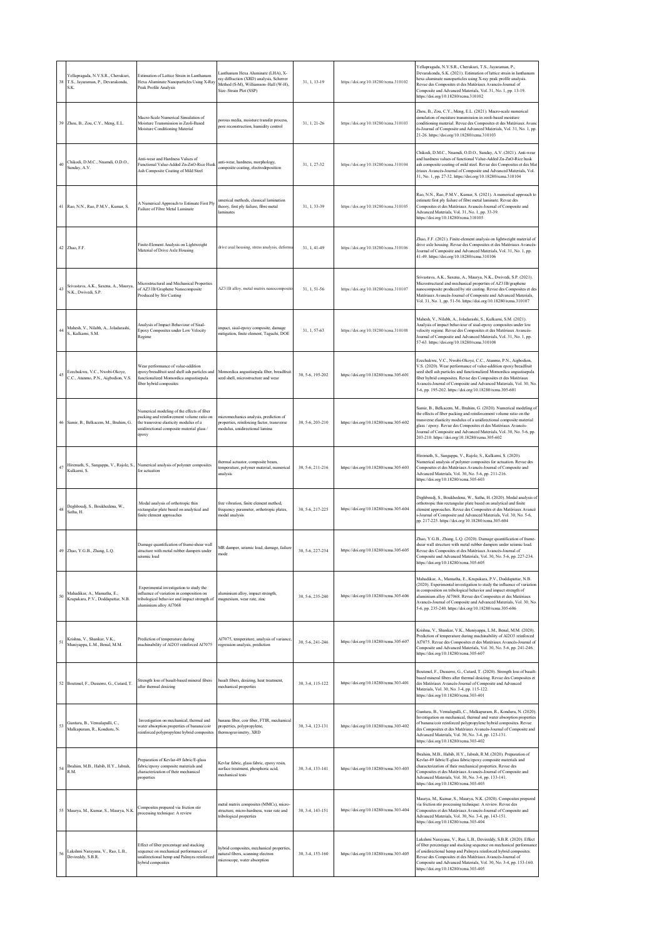|    | Yellapragada, N.V.S.R., Cherukuri,<br>38 T.S., Jayaraman, P., Devarakonda,<br>S.K. | Estimation of Lattice Strain in Lanthanum<br>Hexa Aluminate Nanoparticles Using X-Ray<br>Peak Profile Analysis                                                                          | Lanthanum Hexa Aluminate (LHA), X-<br>ray diffraction (XRD) analysis, Scherrer<br>Method (S-M), Williamson-Hall (W-H),<br>Size-Strain Plot (SSP) | 31, 1, 13-19     | https://doi.org/10.18280/rcma.310102  | Yellapragada, N.V.S.R., Cherukuri, T.S., Jayaraman, P.,<br>Devarakonda, S.K. (2021). Estimation of lattice strain in lanthanum<br>hexa aluminate nanoparticles using X-ray peak profile analysis.<br>Revue des Composites et des Matériaux Avancés-Journal of<br>Composite and Advanced Materials, Vol. 31, No. 1, pp. 13-19.<br>https://doi.org/10.18280/rcma.310102                                       |
|----|------------------------------------------------------------------------------------|-----------------------------------------------------------------------------------------------------------------------------------------------------------------------------------------|--------------------------------------------------------------------------------------------------------------------------------------------------|------------------|---------------------------------------|-------------------------------------------------------------------------------------------------------------------------------------------------------------------------------------------------------------------------------------------------------------------------------------------------------------------------------------------------------------------------------------------------------------|
|    | 39 Zhou, B., Zou, C.Y., Meng, E.L.                                                 | Macro-Scale Numerical Simulation of<br>Moisture Transmission in Zeoli-Based<br>Moisture Conditioning Material                                                                           | porous media, moisture transfer process,<br>pore reconstruction, humidity control                                                                | 31, 1, 21-26     | https://doi.org/10.18280/rcma.310103  | Zhou, B., Zou, C.Y., Meng, E.L. (2021). Macro-scale numerical<br>simulation of moisture transmission in zeoli-based moisture<br>conditioning material. Revue des Composites et des Matériaux Avanc<br>és-Journal of Composite and Advanced Materials, Vol. 31, No. 1, pp.<br>21-26. https://doi.org/10.18280/rcma.310103                                                                                    |
| 40 | Chikodi, D.M.C., Nnamdi, O.D.O.,<br>Sunday, A.V.                                   | Anti-wear and Hardness Values of<br>Functional Value-Added Zn-ZnO-Rice Husl<br>Ash Composite Coating of Mild Steel                                                                      | anti-wear, hardness, morphology,<br>composite coating, electrodeposition                                                                         | 31, 1, 27-32     | https://doi.org/10.18280/rcma.310104  | Chikodi, D.M.C., Nnamdi, O.D.O., Sunday, A.V. (2021). Anti-wear<br>and hardness values of functional Value-Added Zn-ZnO-Rice husk<br>ash composite coating of mild steel. Revue des Composites et des Mat<br>ériaux Avancés-Journal of Composite and Advanced Materials, Vol.<br>31, No. 1, pp. 27-32. https://doi.org/10.18280/rcma.310104                                                                 |
|    | 41 Rao, N.N., Rao, P.M.V., Kumar, S.                                               | A Numerical Approach to Estimate First Ply<br>Failure of Fibre Metal Laminate                                                                                                           | umerical methods, classical lamination<br>theory, first ply failure, fibre metal<br>laminates                                                    | 31, 1, 33-39     | https://doi.org/10.18280/rcma.310105  | Rao, N.N., Rao, P.M.V., Kumar, S. (2021). A numerical approach to<br>estimate first ply failure of fibre metal laminate. Revue des<br>Composites et des Matériaux Avancés-Journal of Composite and<br>Advanced Materials, Vol. 31, No. 1, pp. 33-39.<br>https://doi.org/10.18280/rcma.310105                                                                                                                |
|    | 42 Zhao, F.F.                                                                      | Finite-Element Analysis on Lightweight<br>Material of Drive Axle Housing                                                                                                                | drive axal housing, stress analysis, deforma                                                                                                     | 31, 1, 41-49     | https://doi.org/10.18280/rcma.310106  | Zhao, F.F. (2021). Finite-element analysis on lightweight material of<br>drive axle housing. Revue des Composites et des Matériaux Avancés-<br>Journal of Composite and Advanced Materials, Vol. 31, No. 1, pp.<br>41-49. https://doi.org/10.18280/rcma.310106                                                                                                                                              |
| 43 | Srivastava, A.K., Saxena, A., Maurya,<br>N.K., Dwivedi, S.P.                       | Microstructural and Mechanical Properties<br>of AZ31B/Graphene Nanocomposite<br>Produced by Stir Casting                                                                                | AZ31B alloy, metal matrix nanocomposite                                                                                                          | 31, 1, 51-56     | https://doi.org/10.18280/rcma.310107  | Srivastava, A.K., Saxena, A., Maurya, N.K., Dwivedi, S.P. (2021).<br>Microstructural and mechanical properties of AZ31B/graphene<br>nanocomposite produced by stir casting. Revue des Composites et des<br>Matériaux Avancés-Journal of Composite and Advanced Materials,<br>Vol. 31, No. 1, pp. 51-56. https://doi.org/10.18280/rcma.310107                                                                |
| 44 | Mahesh, V., Nilabh, A., Joladarashi,<br>S., Kulkami, S.M.                          | Analysis of Impact Behaviour of Sisal-<br>Epoxy Composites under Low Velocity<br>Regime                                                                                                 | impact, sisal-epoxy composite, damage<br>mitigation, finite element, Taguchi, DOE                                                                | 31, 1, 57-63     | https://doi.org/10.18280/rcma.310108  | Mahesh, V., Nilabh, A., Joladarashi, S., Kulkarni, S.M. (2021).<br>Analysis of impact behaviour of sisal-epoxy composites under low<br>velocity regime. Revue des Composites et des Matériaux Avancés-<br>Journal of Composite and Advanced Materials, Vol. 31, No. 1, pp.<br>57-63. https://doi.org/10.18280/rcma.310108                                                                                   |
| 45 | Ezechukwu, V.C., Nwobi-Okoye,<br>C.C., Atanmo, P.N., Aigbodion, V.S.               | Wear performance of value-addition<br>epoxy/breadfruit seed shell ash particles and<br>functionalized Momordica angustisepala<br>fiber hybrid composites                                | Momordica angustisepala fiber, breadfruit<br>seed shell, microstructure and wear                                                                 | 30, 5-6, 195-202 | https://doi.org/10.18280/rcma.305-601 | Ezechukwu, V.C., Nwobi-Okoye, C.C., Atanmo, P.N., Aigbodion,<br>V.S. (2020). Wear performance of value-addition epoxy/breadfruit<br>seed shell ash particles and functionalized Momordica angustisepala<br>fiber hybrid composites. Revue des Composites et des Matériaux<br>Avancés-Journal of Composite and Advanced Materials, Vol. 30, No.<br>5-6, pp. 195-202. https://doi.org/10.18280/rcma.305-601   |
|    | Samir, B., Belkacem, M., Brahim, G.                                                | Numerical modeling of the effects of fiber<br>packing and reinforcement volume ratio on<br>the transverse elasticity modulus of a<br>unidirectional composite material glass /<br>epoxy | micromechanics analysis, prediction of<br>properties, reinforcing factor, transverse<br>modulus, unidirectional lamina                           | 30, 5-6, 203-210 | https://doi.org/10.18280/rcma.305-602 | Samir, B., Belkacem, M., Brahim, G. (2020). Numerical modeling of<br>the effects of fiber packing and reinforcement volume ratio on the<br>transverse elasticity modulus of a unidirectional composite material<br>glass / epoxy. Revue des Composites et des Matériaux Avancés-<br>Journal of Composite and Advanced Materials, Vol. 30, No. 5-6, pp.<br>203-210. https://doi.org/10.18280/rcma.305-602    |
| 47 | Kulkami, S.                                                                        | Hiremath, S., Sangappa, V., Rajole, S., Numerical analysis of polymer composites<br>for actuation                                                                                       | thermal actuator, composite beam,<br>temperature, polymer material, numerical<br>analysis                                                        | 30, 5-6, 211-216 | https://doi.org/10.18280/rcma.305-603 | Hiremath, S., Sangappa, V., Rajole, S., Kulkarni, S. (2020).<br>Numerical analysis of polymer composites for actuation. Revue des<br>Composites et des Matériaux Avancés-Journal of Composite and<br>Advanced Materials, Vol. 30, No. 5-6, pp. 211-216.<br>https://doi.org/10.18280/rcma.305-603                                                                                                            |
|    | 48 Deghboudj, S., Boukhedena, W.,<br>Satha, H.                                     | Modal analysis of orthotropic thin<br>rectangular plate based on analytical and<br>finite element approaches                                                                            | free vibration, finite element method,<br>frequency parameter, orthotropic plates,<br>modal analysis                                             | 30, 5-6, 217-225 | https://doi.org/10.18280/rcma.305-604 | Deghboudj, S., Boukhedena, W., Satha, H. (2020). Modal analysis of<br>orthotropic thin rectangular plate based on analytical and finite<br>element approaches. Revue des Composites et des Matériaux Avancé<br>s-Journal of Composite and Advanced Materials, Vol. 30, No. 5-6,<br>pp. 217-225. https://doi.org/10.18280/rcma.305-604                                                                       |
|    | 49 Zhao, Y.G.B., Zhang, L.Q.                                                       | Damage quantification of frame-shear wall<br>structure with metal rubber dampers under<br>seismic load                                                                                  | MR damper, seismic load, damage, failure<br>mode                                                                                                 | 30, 5-6, 227-234 | https://doi.org/10.18280/rcma.305-605 | Zhao, Y.G.B., Zhang, L.Q. (2020). Damage quantification of frame-<br>shear wall structure with metal rubber dampers under seismic load.<br>Revue des Composites et des Matériaux Avancés-Journal of<br>Composite and Advanced Materials, Vol. 30, No. 5-6, pp. 227-234.<br>https://doi.org/10.18280/rcma.305-605                                                                                            |
| 50 | Mahadikar, A., Mamatha, E.,<br>Krupakara, P.V., Doddapattar, N.B.                  | Experimental investigation to study the<br>influence of variation in composition on<br>tribological behavior and impact strength of<br>aluminium alloy Al7068                           | aluminium alloy, impact strength,<br>magnesium, wear rate, zinc                                                                                  | 30, 5-6, 235-240 | https://doi.org/10.18280/rcma.305-606 | Mahadikar, A., Mamatha, E., Krupakara, P.V., Doddapattar, N.B.<br>(2020). Experimental investigation to study the influence of variation<br>in composition on tribological behavior and impact strength of<br>aluminium alloy Al7068. Revue des Composites et des Matériaux<br>Avancés-Journal of Composite and Advanced Materials, Vol. 30, No.<br>5-6, pp. 235-240. https://doi.org/10.18280/rcma.305-606 |
| 51 | Krishna, V., Shankar, V.K.,<br>Muniyappa, L.M., Benal, M.M.                        | Prediction of temperature during<br>machinability of Al2O3 reinforced Al7075                                                                                                            | Al7075, temperature, analysis of variance,<br>regression analysis, prediction                                                                    | 30, 5-6, 241-246 | https://doi.org/10.18280/rcma.305-607 | Krishna, V., Shankar, V.K., Muniyappa, L.M., Benal, M.M. (2020).<br>Prediction of temperature during machinability of Al2O3 reinforced<br>Al7075. Revue des Composites et des Matériaux Avancés-Journal of<br>Composite and Advanced Materials, Vol. 30, No. 5-6, pp. 241-246.<br>https://doi.org/10.18280/rcma.305-607                                                                                     |
|    | 52 Boutenel, F., Dusserre, G., Cutard, T.                                          | Strength loss of basalt-based mineral fibers<br>after thermal desizing                                                                                                                  | basalt fibers, desizing, heat treatment,<br>mechanical properties                                                                                | 30, 3-4, 115-122 | https://doi.org/10.18280/rcma.303-401 | Boutenel, F., Dusserre, G., Cutard, T. (2020). Strength loss of basalt-<br>based mineral fibers after thermal desizing. Revue des Composites et<br>des Matériaux Avancés-Journal of Composite and Advanced<br>Materials, Vol. 30, No. 3-4, pp. 115-122.<br>https://doi.org/10.18280/rcma.303-401                                                                                                            |
| 53 | Gunturu, B., Vemulapalli, C.,<br>Malkapuram, R., Konduru, N.                       | Investigation on mechanical, thermal and<br>water absorption properties of banana/coir<br>reinforced polypropylene hybrid composites                                                    | banana fiber, coir fiber, FTIR, mechanical<br>properties, polypropylene,<br>thermogravimetry, XRD                                                | 30, 3-4, 123-131 | https://doi.org/10.18280/rcma.303-402 | Gunturu, B., Vemulapalli, C., Malkapuram, R., Konduru, N. (2020).<br>Investigation on mechanical, thermal and water absorption properties<br>of banana/coir reinforced polypropylene hybrid composites. Revue<br>des Composites et des Matériaux Avancés-Journal of Composite and<br>Advanced Materials, Vol. 30, No. 3-4, pp. 123-131.<br>https://doi.org/10.18280/rcma.303-402                            |
| 54 | Ibrahim, M.B., Habib, H.Y., Jabrah,<br>R M                                         | Preparation of Kevlar-49 fabric/E-glass<br>fabric/epoxy composite materials and<br>characterization of their mechanical<br>properties                                                   | Kevlar fabric, glass fabric, epoxy resin,<br>surface treatment, phosphoric acid,<br>mechanical tests                                             | 30, 3-4, 133-141 | https://doi.org/10.18280/rcma.303-403 | Ibrahim, M.B., Habib, H.Y., Jabrah, R.M. (2020). Preparation of<br>Kevlar-49 fabric/E-glass fabric/epoxy composite materials and<br>characterization of their mechanical properties. Revue des<br>Composites et des Matériaux Avancés-Journal of Composite and<br>Advanced Materials, Vol. 30, No. 3-4, pp. 133-141.<br>https://doi.org/10.18280/rcma.303-403                                               |
|    | 55 Maurya, M., Kumar, S., Maurya, N.K.                                             | Composites prepared via friction stir<br>processing technique: A review                                                                                                                 | metal matrix composites (MMCs), micro-<br>structure, micro-hardness, wear rate and<br>tribological properties                                    | 30, 3-4, 143-151 | https://doi.org/10.18280/rcma.303-404 | Maurya, M., Kumar, S., Maurya, N.K. (2020). Composites prepared<br>via friction stir processing technique: A review. Revue des<br>Composites et des Matériaux Avancés-Journal of Composite and<br>Advanced Materials, Vol. 30, No. 3-4, pp. 143-151.<br>https://doi.org/10.18280/rcma.303-404                                                                                                               |
|    | 156 Lakshmi Narayana, V., Rao, L.B.,<br>Devireddy, S.B.R.                          | Effect of fiber percentage and stacking<br>sequence on mechanical performance of<br>unidirectional hemp and Palmyra reinforced<br>hybrid composites                                     | hybrid composites, mechanical properties,<br>natural fibers, scanning electron<br>microscope, water absorption                                   | 30, 3-4, 153-160 | https://doi.org/10.18280/rcma.303-405 | Lakshmi Narayana, V., Rao, L.B., Devireddy, S.B.R. (2020). Effect<br>of fiber percentage and stacking sequence on mechanical performance<br>of unidirectional hemp and Palmyra reinforced hybrid composites.<br>Revue des Composites et des Matériaux Avancés-Journal of<br>Composite and Advanced Materials, Vol. 30, No. 3-4, pp. 153-160.<br>https://doi.org/10.18280/rcma.303-405                       |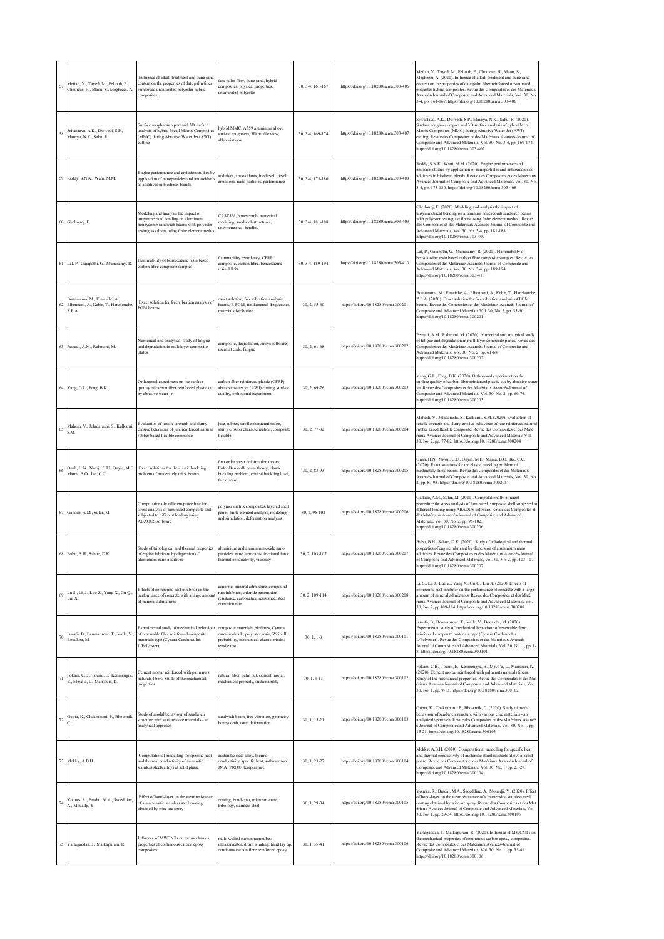| 57 | Meftah, Y., Tayefi, M., Fellouh, F.,<br>Chouieur, H., Maou, S., Meghezzi, A.   | Influence of alkali treatment and dune sand<br>content on the properties of date palm fiber<br>reinforced unsaturated polyester hybrid<br>composites                  | date palm fiber, dune sand, hybrid<br>composites, physical properties,<br>unsaturated polyester                                               | 30, 3-4, 161-167 | https://doi.org/10.18280/rcma.303-406 | Meftah, Y., Tayefi, M., Fellouh, F., Chouieur, H., Maou, S.,<br>Meghezzi, A. (2020). Influence of alkali treatment and dune sand<br>content on the properties of date palm fiber reinforced unsaturated<br>polyester hybrid composites. Revue des Composites et des Matériaux<br>Avancés-Journal of Composite and Advanced Materials, Vol. 30, No.<br>3-4, pp. 161-167. https://doi.org/10.18280/rcma.303-406 |
|----|--------------------------------------------------------------------------------|-----------------------------------------------------------------------------------------------------------------------------------------------------------------------|-----------------------------------------------------------------------------------------------------------------------------------------------|------------------|---------------------------------------|---------------------------------------------------------------------------------------------------------------------------------------------------------------------------------------------------------------------------------------------------------------------------------------------------------------------------------------------------------------------------------------------------------------|
| 58 | Srivastava, A.K., Dwivedi, S.P.,<br>Maurya, N.K., Sahu, R                      | Surface roughness report and 3D surface<br>analysis of hybrid Metal Matrix Composites<br>(MMC) during Abrasive Water Jet (AWJ)<br>cutting                             | hybrid MMC, A359 aluminum alloy,<br>surface roughness, 3D profile view,<br>abbreviations                                                      | 30, 3-4, 169-174 | https://doi.org/10.18280/rcma.303-407 | Srivastava, A.K., Dwivedi, S.P., Maurya, N.K., Sahu, R. (2020).<br>Surface roughness report and 3D surface analysis of hybrid Metal<br>Matrix Composites (MMC) during Abrasive Water Jet (AWJ)<br>cutting. Revue des Composites et des Matériaux Avancés-Journal of<br>Composite and Advanced Materials, Vol. 30, No. 3-4, pp. 169-174.<br>https://doi.org/10.18280/rcma.303-407                              |
|    | 59 Reddy, S.N.K., Wani, M.M.                                                   | Engine performance and emission studies by<br>application of nanoparticles and antioxidant<br>as additives in biodiesel blends                                        | additives, antioxidants, biodiesel, diesel,<br>emissions, nano particles, performance                                                         | 30, 3-4, 175-180 | https://doi.org/10.18280/rcma.303-408 | Reddy, S.N.K., Wani, M.M. (2020). Engine performance and<br>emission studies by application of nanoparticles and antioxidants as<br>additives in biodiesel blends. Revue des Composites et des Matériaux<br>Avancés-Journal of Composite and Advanced Materials, Vol. 30, No.<br>3-4, pp. 175-180. https://doi.org/10.18280/rcma.303-408                                                                      |
|    | 60 Ghelloudj, E.                                                               | Modeling and analysis the impact of<br>unsymmetrical bending on aluminum<br>honeycomb sandwich beams with polyester<br>resin/glass fibers using finite element method | CAST3M, honeycomb, numerical<br>modeling, sandwich structures,<br>unsymmetrical bending                                                       | 30.3-4.181-188   | https://doi.org/10.18280/rcma.303-409 | Ghelloudj, E. (2020). Modeling and analysis the impact of<br>unsymmetrical bending on aluminum honeycomb sandwich beams<br>with polyester resin/glass fibers using finite element method. Revue<br>les Composites et des Matériaux Avancés-Journal of Composite and<br>Advanced Materials, Vol. 30, No. 3-4, pp. 181-188.<br>https://doi.org/10.18280/rcma.303-409                                            |
|    | 61 Lal, P., Gajapathi, G., Munusamy, R.                                        | Flammability of benzoxazine resin based<br>carbon fibre composite samples                                                                                             | flammability retardancy, CFRP<br>composite, carbon fibre, benzoxazine<br>resin, UL94                                                          | 30, 3-4, 189-194 | https://doi.org/10.18280/rcma.303-410 | Lal, P., Gajapathi, G., Munusamy, R. (2020). Flammability of<br>penzoxazine resin based carbon fibre composite samples. Revue des<br>Composites et des Matériaux Avancés-Journal of Composite and<br>Advanced Materials, Vol. 30, No. 3-4, pp. 189-194.<br>https://doi.org/10.18280/rcma.303-410                                                                                                              |
| 62 | Bouamama, M., Elmeiche, A.,<br>Elhennani, A., Kebir, T., Harchouche,<br>Z.E.A. | Exact solution for free vibration analysis of<br>FGM beams                                                                                                            | exact solution, free vibration analysis,<br>beams, E-FGM, fundamental frequencies,<br>material distribution                                   | 30, 2, 55-60     | https://doi.org/10.18280/rcma.300201  | Bouamama, M., Elmeiche, A., Elhennani, A., Kebir, T., Harchouche,<br>Z.E.A. (2020). Exact solution for free vibration analysis of FGM<br>cams. Revue des Composites et des Matériaux Avancés-Journal of<br>Composite and Advanced Materials Vol. 30, No. 2, pp. 55-60.<br>https://doi.org/10.18280/rcma.300201                                                                                                |
|    | 63 Petrudi, A.M., Rahmani, M.                                                  | Numerical and analytical study of fatigue<br>and degradation in multilayer composite<br>plates                                                                        | composite, degradation, Ansys software,<br>usermat code, fatigue                                                                              | 30, 2, 61-68     | https://doi.org/10.18280/rcma.300202  | Petrudi, A.M., Rahmani, M. (2020). Numerical and analytical study<br>of fatigue and degradation in multilayer composite plates. Revue des<br>Composites et des Matériaux Avancés-Journal of Composite and<br>Advanced Materials, Vol. 30, No. 2, pp. 61-68.<br>https://doi.org/10.18280/rcma.300202                                                                                                           |
|    | 64 Yang, G.L., Feng, B.K.                                                      | Orthogonal experiment on the surface<br>quality of carbon fiber reinforced plastic cut<br>by abrasive water jet                                                       | carbon fiber reinforced plastic (CFRP),<br>abrasive water jet (AWJ) cutting, surface<br>quality, orthogonal experiment                        | 30, 2, 69-76     | https://doi.org/10.18280/rcma.300203  | Yang, G.L., Feng, B.K. (2020). Orthogonal experiment on the<br>arface quality of carbon fiber reinforced plastic cut by abrasive water<br>et. Revue des Composites et des Matériaux Avancés-Journal of<br>Composite and Advanced Materials, Vol. 30, No. 2, pp. 69-76.<br>https://doi.org/10.18280/rcma.300203                                                                                                |
| 65 | Mahesh, V., Joladarashi, S., Kulkami,<br>S.M.                                  | Evaluation of tensile strength and slurry<br>erosive behaviour of jute reinforced natural<br>rubber based flexible composite                                          | jute, rubber, tensile characterization,<br>slurry erosion characterization, composite<br>flexible                                             | 30.2.77-82       | https://doi.org/10.18280/rcma.300204  | Mahesh, V., Joladarashi, S., Kulkarni, S.M. (2020). Evaluation of<br>ensile strength and slurry erosive behaviour of jute reinforced natural<br>rubber based flexible composite. Revue des Composites et des Maté<br>iaux Avancés-Journal of Composite and Advanced Materials Vol.<br>30, No. 2, pp. 77-82. https://doi.org/10.18280/rcma.300204                                                              |
| 66 | Onah, H.N., Nwoji, C.U., Onyia, M.E.,<br>Mama, B.O., Ike, C.C.                 | Exact solutions for the elastic buckling<br>problem of moderately thick beams                                                                                         | first order shear deformation theory,<br>Euler-Bernoulli beam theory, elastic<br>buckling problem, critical buckling load,<br>thick beam      | 30, 2, 83-93     | https://doi.org/10.18280/rcma.300205  | Onah, H.N., Nwoji, C.U., Onyia, M.E., Mama, B.O., Ike, C.C.<br>(2020). Exact solutions for the elastic buckling problem of<br>moderately thick beams. Revue des Composites et des Matériaux<br>Avancés-Journal of Composite and Advanced Materials, Vol. 30, No.<br>2, pp. 83-93. https://doi.org/10.18280/rcma.300205                                                                                        |
|    | 67 Gadade, A.M., Sutar, M.                                                     | Computationally efficient procedure for<br>stress analysis of laminated composite shell<br>subjected to different loading using<br><b>ABAOUS</b> software             | polymer matrix composites, layered shell<br>panel, finite element analysis, modeling<br>and simulation, deformation analysis                  | 30, 2, 95-102    | https://doi.org/10.18280/rcma.300206  | Gadade, A.M., Sutar, M. (2020). Computationally efficient<br>procedure for stress analysis of laminated composite shell subjected to<br>different loading using ABAQUS software. Revue des Composites et<br>les Matériaux Avancés-Journal of Composite and Advanced<br>Materials, Vol. 30, No. 2, pp. 95-102.<br>https://doi.org/10.18280/rcma.300206                                                         |
|    | 68 Babu, B.H., Sahoo, D.K.                                                     | Study of tribological and thermal properties<br>of engine lubricant by dispersion of<br>aluminium nano additives                                                      | aluminium and aluminium oxide nano<br>particles, nano lubricants, frictional force,<br>thermal conductivity, viscosity                        | 30, 2, 103-107   | https://doi.org/10.18280/rcma.300207  | Babu, B.H., Sahoo, D.K. (2020). Study of tribological and thermal<br>properties of engine lubricant by dispersion of aluminium nano<br>additives. Revue des Composites et des Matériaux Avancés-Journal<br>of Composite and Advanced Materials, Vol. 30, No. 2, pp. 103-107.<br>https://doi.org/10.18280/rcma.300207                                                                                          |
| 69 | Lu S., Li, J., Luo Z., Yang X., Gu Q.,<br>Liu X.                               | Effects of compound rust inhibitor on the<br>performance of concrete with a large amoun<br>of mineral admixtures                                                      | concrete, mineral admixture, compound<br>rust inhibitor, chloride penetration<br>resistance, carbonation resistance, steel<br>corrosion rate  | 30, 2, 109-114   | https://doi.org/10.18280/rcma.300208  | Lu S., Li, J., Luo Z., Yang X., Gu Q., Liu X. (2020). Effects of<br>compound rust inhibitor on the performance of concrete with a large<br>amount of mineral admixtures. Revue des Composites et des Maté<br>riaux Avancés-Journal of Composite and Advanced Materials, Vol.<br>30, No. 2, pp.109-114. https://doi.org/10.18280/rcma.300208                                                                   |
| 70 | Issasfa, B., Benmansour, T., Valle, V.,<br>Bouakba, M.                         | Experimental study of mechanical behaviour<br>of renewable fibre reinforced composite<br>materials type (Cynara Cardunculus<br>L/Polyester)                           | composite materials, biofibres, Cynara<br>cardunculus L, polyester resin, Weibull<br>probability, mechanical characteristics,<br>tencile test | $30, 1, 1 - 8$   | https://doi.org/10.18280/rcma.300101  | ssasfa, B., Benmansour, T., Valle, V., Bouakba, M. (2020).<br>Experimental study of mechanical behaviour of renewable fibre<br>reinforced composite materials type (Cynara Cardunculus<br>L/Polyester). Revue des Composites et des Matériaux Avancés-<br>Iournal of Composite and Advanced Materials, Vol. 30, No. 1, pp. 1-<br>8. https://doi.org/10.18280/rcma.300101                                      |
|    | 71 Fokam, C.B., Toumi, E., Kenmeugne,<br>B., Meva'a, L., Mansouri, K.          | Cement mortar reinforced with palm nuts<br>naturals fibers: Study of the mechanical<br>properties                                                                     | natural fiber, palm nut, cement mortar,<br>mechanical property, sustainability                                                                | 30, 1, 9-13      | https://doi.org/10.18280/rcma.300102  | Fokam, C.B., Toumi, E., Kenmeugne, B., Meva'a, L., Mansouri, K.<br>(2020). Cement mortar reinforced with palm nuts naturals fibers:<br>Study of the mechanical properties. Revue des Composites et des Mat<br>ériaux Avancés-Journal of Composite and Advanced Materials, Vol.<br>30, No. 1, pp. 9-13. https://doi.org/10.18280/rcma.300102                                                                   |
| 72 | Gupta, K., Chakraborti, P., Bhowmik,                                           | Study of modal behaviour of sandwich<br>structure with various core materials - an<br>analytical approach                                                             | sandwich beam, free vibration, geometry,<br>honeycomb, core, deformation                                                                      | 30, 1, 15-21     | https://doi.org/10.18280/rcma.300103  | Gupta, K., Chakraborti, P., Bhowmik, C. (2020). Study of modal<br>behaviour of sandwich structure with various core materials - an<br>analytical approach. Revue des Composites et des Matériaux Avancé<br>-Journal of Composite and Advanced Materials, Vol. 30, No. 1, pp.<br>15-21. https://doi.org/10.18280/rcma.300103                                                                                   |
|    | 73 Mekky, A.B.H.                                                               | Computational modelling for specific heat<br>and thermal conductivity of austenitic<br>stainless steels alloys at solid phase                                         | austenitic steel alloy, thermal<br>conductivity, specific heat, software tool<br>JMATPRO®, temperature                                        | 30, 1, 23-27     | https://doi.org/10.18280/rcma.300104  | Mekky, A.B.H. (2020). Computational modelling for specific heat<br>and thermal conductivity of austenitic stainless steels alloys at solid<br>phase. Revue des Composites et des Matériaux Avancés-Journal of<br>Composite and Advanced Materials, Vol. 30, No. 1, pp. 23-27.<br>https://doi.org/10.18280/rcma.300104                                                                                         |
| 74 | Younes, R., Bradai, M.A., Sadeddine,<br>A., Mouadji, Y.                        | Effect of bond-layer on the wear resistance<br>of a martensitic stainless steel coating<br>obtained by wire arc spray                                                 | coating, bond-coat, microstructure,<br>tribology, stainless steel                                                                             | 30, 1, 29-34     | https://doi.org/10.18280/rcma.300105  | Younes, R., Bradai, M.A., Sadeddine, A., Mouadji, Y. (2020). Effect<br>of bond-layer on the wear resistance of a martensitic stainless steel<br>coating obtained by wire arc spray. Revue des Composites et des Mat<br>ériaux Avancés-Journal of Composite and Advanced Materials, Vol.<br>30, No. 1, pp. 29-34. https://doi.org/10.18280/rcma.300105                                                         |
|    | 75 Yarlagaddaa, J., Malkapuram, R.                                             | Influence of MWCNTs on the mechanical<br>properties of continuous carbon epoxy<br>composites                                                                          | multi walled carbon nanotubes,<br>ultrasonicator, drum winding, hand lay up,<br>continous carbon fibre reinforced epoxy                       | 30, 1, 35-41     | https://doi.org/10.18280/rcma.300106  | Yarlagaddaa, J., Malkapuram, R. (2020). Influence of MWCNTs on<br>the mechanical properties of continuous carbon epoxy composites.<br>Revue des Composites et des Matériaux Avancés-Journal of<br>Composite and Advanced Materials, Vol. 30, No. 1, pp. 35-41.<br>https://doi.org/10.18280/rcma.300106                                                                                                        |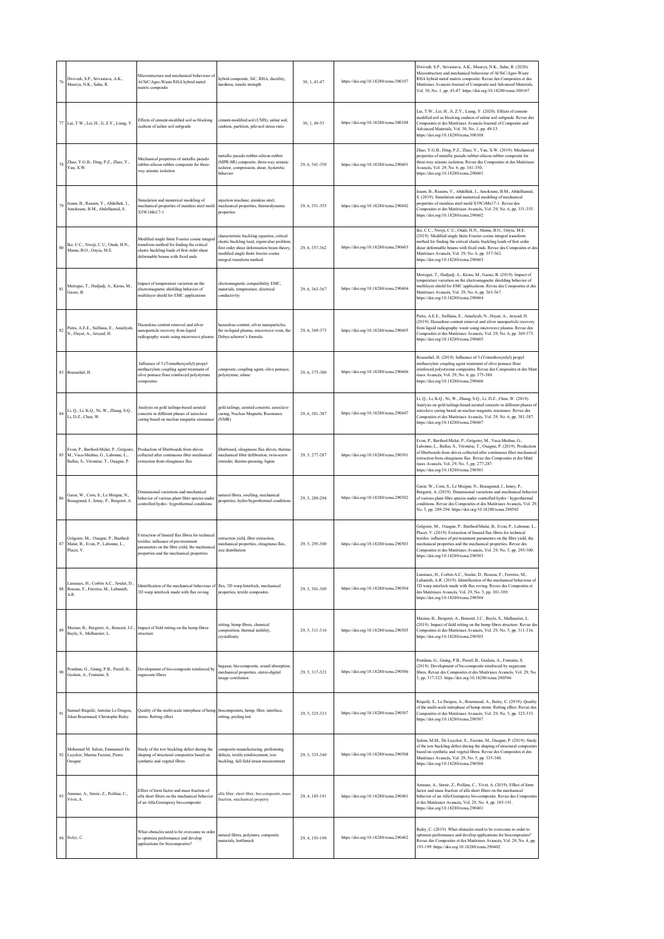| 76     | Dwivedi, S.P., Srivastava, A.K.,<br>Maurya, N.K., Sahu, R.                                                             | Microstructure and mechanical behaviour of<br>Al/SiC/Agro-Waste RHA hybrid metal<br>matrix composite                                                                                | hybrid composite, SiC, RHA, ductility,<br>hardness, tensile strength                                                                                                                                         | 30, 1, 43-47   | https://doi.org/10.18280/rcma.300107 | Dwivedi, S.P., Srivastava, A.K., Maurya, N.K., Sahu, R. (2020).<br>Microstructure and mechanical behaviour of Al/SiC/Agro-Waste<br>RHA hybrid metal matrix composite. Revue des Composites et des<br>Matériaux Avancés-Journal of Composite and Advanced Materials,<br>Vol. 30, No. 1, pp. 43-47. https://doi.org/10.18280/rcma.300107                                                            |
|--------|------------------------------------------------------------------------------------------------------------------------|-------------------------------------------------------------------------------------------------------------------------------------------------------------------------------------|--------------------------------------------------------------------------------------------------------------------------------------------------------------------------------------------------------------|----------------|--------------------------------------|---------------------------------------------------------------------------------------------------------------------------------------------------------------------------------------------------------------------------------------------------------------------------------------------------------------------------------------------------------------------------------------------------|
|        | 77 Lai, T.W., Lei, H., Ji, Z.Y., Liang, Y.                                                                             | Effects of cement-modified soil as blocking<br>cushion of saline soil subgrade                                                                                                      | cement-modified soil (CMS), saline soil,<br>zushion, partition, pile-soil stress ratio                                                                                                                       | 30, 1, 49-53   | https://doi.org/10.18280/rcma.300108 | Lai, T.W., Lei, H., Ji, Z.Y., Liang, Y. (2020). Effects of cement-<br>modified soil as blocking cushion of saline soil subgrade. Revue des<br>Composites et des Matériaux Avancés-Journal of Composite and<br>Advanced Materials, Vol. 30, No. 1, pp. 49-53.<br>https://doi.org/10.18280/rcma.300108                                                                                              |
|        | 78 Zhao, Y.G.B., Ding, P.Z., Zhao, Y.,<br>Yan, X.W.                                                                    | Mechanical properties of metallic pseudo<br>rubber-silicon rubber composite for three-<br>vav seismic isolation                                                                     | metallic pseudo rubber-silicon rubber<br>(MPR-SR) composite, three-way seismic<br>isolator, compression, shear, hysteretic<br>behavior                                                                       | 29, 6, 341-350 | https://doi.org/10.18280/rcma.290601 | Zhao, Y.G.B., Ding, P.Z., Zhao, Y., Yan, X.W. (2019). Mechanical<br>properties of metallic pseudo rubber-silicon rubber composite for<br>three-way seismic isolation. Revue des Composites et des Matériaux<br>Avancés, Vol. 29, No. 6, pp. 341-350.<br>attps://doi.org/10.18280/rcma.290601                                                                                                      |
| 79     | Issam, B., Rassim, Y., Abdelhek, I.,<br>Amokrane, B.M., Abdelhamid, S.                                                 | simulation and numerical modeling of<br>mechanical properties of stainless steel mole<br>X39CrMo17-1                                                                                | injection machine, stainless steel,<br>mechanical properties, thermodynamic<br>properties                                                                                                                    | 29, 6, 351-355 | https://doi.org/10.18280/rcma.290602 | Issam, B., Rassim, Y., Abdelhek, I., Amokrane, B.M., Abdelhamid,<br>S. (2019). Simulation and numerical modeling of mechanical<br>properties of stainless steel mold X39CrMo17-1. Revue des<br>Composites et des Matériaux Avancés, Vol. 29, No. 6, pp. 351-355.<br>https://doi.org/10.18280/rcma.290602                                                                                          |
| $80\,$ | Ike, C.C., Nwoji, C.U., Onah, H.N.,<br>Mama, B.O., Onyia, M.E.                                                         | Modified single finite Fourier cosine integra<br>transform method for finding the critical<br>elastic buckling loads of first order shear<br>deformable beams with fixed ends       | characteristic buckling equation, critical<br>elastic buckling load, eigenvalue problem,<br>first order shear deformation beam theory,<br>nodified single finite fourier cosine<br>integral transform method | 29, 6, 357-362 | https://doi.org/10.18280/rcma.290603 | Ike, C.C., Nwoji, C.U., Onah, H.N., Mama, B.O., Onyia, M.E.<br>(2019). Modified single finite Fourier cosine integral transform<br>method for finding the critical elastic buckling loads of first order<br>shear deformable beams with fixed ends. Revue des Composites et des<br>Matériaux Avancés, Vol. 29, No. 6, pp. 357-362.<br>https://doi.org/10.18280/rcma.290603                        |
| 81     | Merizgui, T., Hadjadj, A., Kious, M.,<br>Gaoui, B.                                                                     | Impact of temperature variation on the<br>electromagnetic shielding behavior of<br>multilayer shield for EMC applications                                                           | electromagnetic compatibility EMC,<br>materials, temperature, electrical<br>conductivity                                                                                                                     | 29, 6, 363-367 | https://doi.org/10.18280/rcma.290604 | Merizgui, T., Hadjadj, A., Kious, M., Gaoui, B. (2019). Impact of<br>emperature variation on the electromagnetic shielding behavior of<br>nultilayer shield for EMC applications. Revue des Composites et des<br>Matériaux Avancés, Vol. 29, No. 6, pp. 363-367.<br>https://doi.org/10.18280/rcma.290604                                                                                          |
| 82     | Putra, A.E.E., Sulfiana, E., Amaliyah,<br>N., Hayat, A., Arsyad, H.                                                    | Hazardous content removal and silver<br>anoparticle recovery from liquid<br>radiography waste using microwave plasma                                                                | hazardous content, silver nanoparticles,<br>the in-liquid plasma, microwave oven, the<br>Debye-scherrer's formula                                                                                            | 29, 6, 369-373 | https://doi.org/10.18280/rcma.290605 | Putra, A.E.E., Sulfiana, E., Amaliyah, N., Hayat, A., Arsyad, H.<br>(2019). Hazardous content removal and silver nanoparticle recovery<br>from liquid radiography waste using microwave plasma. Revue des<br>Composites et des Matériaux Avancés, Vol. 29, No. 6, pp. 369-373.<br>https://doi.org/10.18280/rcma.290605                                                                            |
|        | 83 Boussehel, H.                                                                                                       | Influence of 3-(Trimethoxysilyl) propyl<br>methacrylate coupling agent treatment of<br>olive pomace flour reinforced polystyrene<br>composites                                      | composite, coupling agent, olive pomace,<br>polystyrene, silane                                                                                                                                              | 29, 6, 375-380 | https://doi.org/10.18280/rcma.290606 | Boussehel, H. (2019). Influence of 3-(Trimethoxysilyl) propyl<br>methacrylate coupling agent treatment of olive pomace flour<br>reinforced polystyrene composites. Revue des Composites et des Maté<br>riaux Avancés, Vol. 29, No. 6, pp. 375-380.<br>https://doi.org/10.18280/rcma.290606                                                                                                        |
|        | Li, Q., Li, K.Q., Ni, W., Zhang, S.Q.,<br>84 Li, Q., L., Chen, W.                                                      | Analysis on gold tailings-based aerated<br>concrete in different phases of autoclave<br>curing based on nuclear magnetic resonance                                                  | gold tailings, aerated concrete, autoclave<br>curing, Nuclear Magnetic Resonance<br>(NMR)                                                                                                                    | 29, 6, 381-387 | https://doi.org/10.18280/rcma.290607 | Li, Q., Li, K.Q., Ni, W., Zhang, S.Q., Li, D.Z., Chen, W. (2019).<br>Analysis on gold tailings-based aerated concrete in different phases of<br>autoclave curing based on nuclear magnetic resonance. Revue des<br>Composites et des Matériaux Avancés, Vol. 29, No. 6, pp. 381-387.<br>https://doi.org/10.18280/rcma.290607                                                                      |
|        | Evon, P., Barthod-Malat, P., Grégoire,<br>85 M., Vaca-Medina, G., Labonne, L.,<br>Ballas, S., Véronèse, T., Ouagne, P. | Production of fiberboards from shives<br>collected after continuous fiber mechanical<br>extraction from oleaginous flax                                                             | fiberboard, oleaginous flax shives, thermo<br>mechanical fiber defibration, twin-screw<br>extruder, thermo-pressing, lignin                                                                                  | 29, 5, 277-287 | https://doi.org/10.18280/rcma.290501 | Evon, P., Barthod-Malat, P., Grégoire, M., Vaca-Medina, G.,<br>Labonne, L., Ballas, S., Véronèse, T., Ouagne, P. (2019). Production<br>of fiberboards from shives collected after continuous fiber mechanical<br>extraction from oleaginous flax. Revue des Composites et des Maté<br>riaux Avancés, Vol. 29, No. 5, pp. 277-287.<br>https://doi.org/10.18280/rcma.290501                         |
| $86\,$ | Garat, W., Corn, S., Le Moigne, N.,<br>Beaugrand, J., Ienny, P., Bergeret, A.                                          | Dimensional variations and mechanical<br>behavior of various plant fibre species under<br>controlled hydro / hygrothermal conditions                                                | natural fibres, swelling, mechanical<br>woperties, hydro/hygrothermal conditions                                                                                                                             | 29, 5, 289-294 | https://doi.org/10.18280/rcma.290502 | Garat, W., Corn, S., Le Moigne, N., Beaugrand, J., Ienny, P.,<br>Bergeret, A. (2019). Dimensional variations and mechanical behavior<br>of various plant fibre species under controlled hydro / hygrothermal<br>conditions. Revue des Composites et des Matériaux Avancés, Vol. 29,<br>No. 5, pp. 289-294. https://doi.org/10.18280/rcma.290502                                                   |
| 87     | Grégoire, M., Ouagne, P., Barthod-<br>Malat, B., Evon, P., Labonne, L.,<br>Placet, V.                                  | Extraction of linseed flax fibres for technical<br>extiles: influence of pre-treatment<br>parameters on the fibre vield, the mechanical<br>properties and the mechanical properties | extraction yield, fiber extraction,<br>mechanical properties, oleaginous flax,<br>size distribution                                                                                                          | 29, 5, 295-300 | https://doi.org/10.18280/rcma.290503 | Grégoire, M., Ouagne, P., Barthod-Malat, B., Evon, P., Labonne, L.<br>Placet, V. (2019). Extraction of linseed flax fibres for technical<br>extiles: influence of pre-treatment parameters on the fibre yield, the<br>nechanical properties and the mechanical properties. Revue des<br>Composites et des Matériaux Avancés, Vol. 29, No. 5, pp. 295-300.<br>https://doi.org/10.18280/rcma.290503 |
| 88     | Lansiaux, H., Corbin A.C., Soulat, D.,<br>Boussu, F., Ferreira, M., Labanich,<br>A.R.                                  | Identification of the mechanical behaviour of flax, 3D warp Interlock, mechanical<br>3D warp interlock made with flax roving                                                        | properties, textile composites                                                                                                                                                                               | 29, 5, 301-309 | https://doi.org/10.18280/rcma.290504 | Lansiaux, H., Corbin A.C., Soulat, D., Boussu, F., Ferreira, M.,<br>Labanich, A.R. (2019). Identification of the mechanical behaviour of<br>3D warp interlock made with flax roving. Revue des Composites et<br>des Matériaux Avancés, Vol. 29, No. 5, pp. 301-309.<br>https://doi.org/10.18280/rcma.290504                                                                                       |
| 89     | Bayle, S., Malhautier, L.                                                                                              | Mazian, B., Bergeret, A., Benezet, J.C., Impact of field retting on the hemp fibres<br>structure                                                                                    | retting, hemp fibres, chemical<br>composition, thermal stability,<br>crystallinity                                                                                                                           | 29, 5, 311-316 | https://doi.org/10.18280/rcma.290505 | Mazian, B., Bergeret, A., Benezet, J.C., Bayle, S., Malhautier, L.<br>(2019). Impact of field retting on the hemp fibres structure. Revue des<br>Composites et des Matériaux Avancés, Vol. 29, No. 5, pp. 311-316.<br>https://doi.org/10.18280/rcma.290505                                                                                                                                        |
| 90     | Postdam, G., Gning, P.B., Piezel, B.,<br>Geslain, A., Fontaine, S.                                                     | Development of bio-composite reinforced by<br>augarcane fibres                                                                                                                      | agasse, bio-composite, sound absorption,<br>nechanical properties, stereo-digital<br>image correlation                                                                                                       | 29, 5, 317-323 | https://doi.org/10.18280/rcma.290506 | Postdam, G., Gning, P.B., Piezel, B., Geslain, A., Fontaine, S.<br>(2019). Development of bio-composite reinforced by sugarcane<br>fibres. Revue des Composites et des Matériaux Avancés, Vol. 29, No.<br>5, pp. 317-323. https://doi.org/10.18280/rcma.290506                                                                                                                                    |
| 91     | Samuel Réquilé, Antoine Le Duigou,<br>Alain Bourmaud, Christophe Baley                                                 | Quality of the multi-scale interphase of hemp biocomposites, hemp, fiber, interface,<br>stems: Retting effect                                                                       | retting, peeling test                                                                                                                                                                                        | 29, 5, 325-333 | https://doi.org/10.18280/rcma.290507 | Réquilé, S., Le Duigou, A., Bourmaud, A., Baley, C. (2019). Quality<br>of the multi-scale interphase of hemp stems: Retting effect. Revue des<br>Composites et des Matériaux Avancés, Vol. 29, No. 5, pp. 325-333.<br>https://doi.org/10.18280/rcma.290507                                                                                                                                        |
|        | Mohamed M. Salem, Emmanuel De<br>92 Luycker, Marina Fazzini, Pierre<br>Ouagne                                          | Study of the tow buckling defect during the<br>shaping of structural composites based on<br>synthetic and vegetal fibres                                                            | composite manufacturing, preforming<br>defects, textile reinforcement, tow<br>buckling, full field strain measurement                                                                                        | 29, 5, 335-340 | https://doi.org/10.18280/rcma.290508 | Salem, M.M., De Luycker, E., Fazzini, M., Ouagne, P. (2019). Study<br>of the tow buckling defect during the shaping of structural composites<br>based on synthetic and vegetal fibres. Revue des Composites et des<br>Matériaux Avancés, Vol. 29, No. 5, pp. 335-340.<br>https://doi.org/10.18280/rcma.290508                                                                                     |
| 93     | Amrane, A., Sereir, Z., Poilâne, C.,<br>Vivet, A.                                                                      | Effect of form factor and mass fraction of<br>alfa short fibers on the mechanical behavior<br>of an Alfa/Greenpoxy bio-composite                                                    | alfa fiber, short fiber, bio-composite, mass<br>fraction, mechanical property                                                                                                                                | 29, 4, 185-191 | https://doi.org/10.18280/rcma.290401 | Amrane, A., Sereir, Z., Poilâne, C., Vivet, A. (2019). Effect of form<br>factor and mass fraction of alfa short fibers on the mechanical<br>behavior of an Alfa/Greenpoxy bio-composite. Revue des Composites<br>et des Matériaux Avancés, Vol. 29, No. 4, pp. 185-191.<br>https://doi.org/10.18280/rcma.290401                                                                                   |
|        | 94 Baley, C.                                                                                                           | What obstacles need to be overcome in order<br>to optimize performance and develop<br>spplications for biocomposites?                                                               | natural fibres, polymers, composite<br>materials, bottleneck                                                                                                                                                 | 29, 4, 193-199 | https://doi.org/10.18280/rcma.290402 | Baley, C. (2019). What obstacles need to be overcome in order to<br>optimize performance and develop spplications for biocomposites?<br>Revue des Composites et des Matériaux Avancés, Vol. 29, No. 4, pp.<br>193-199. https://doi.org/10.18280/rcma.290402                                                                                                                                       |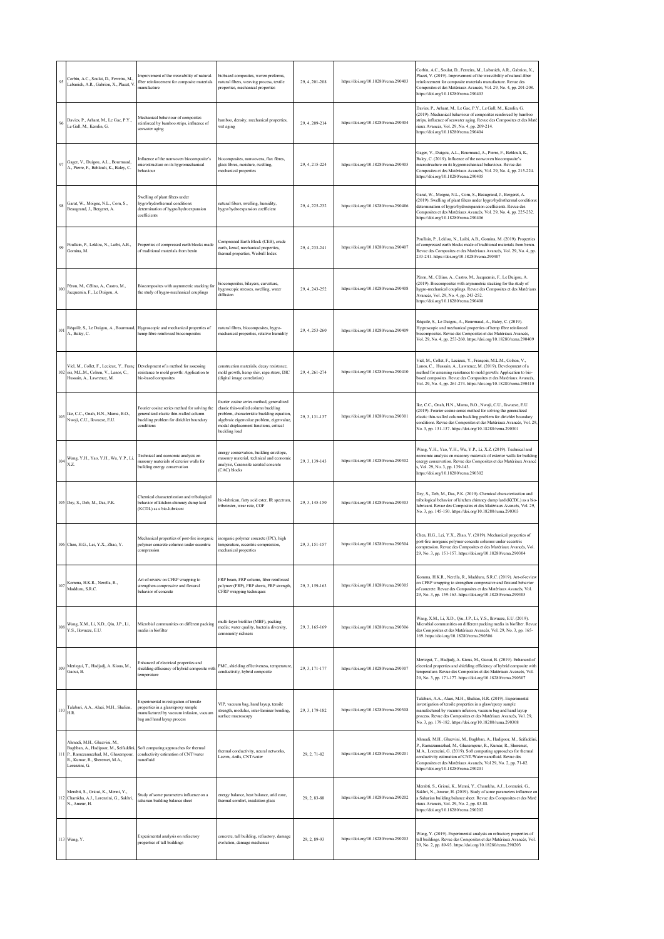| 95      | Corbin, A.C., Soulat, D., Ferreira, M.,<br>Labanich, A.R., Gabrion, X., Placet, V.                                                                                 | Improvement of the weavability of natural-<br>fiber reinforcement for composite materials<br>manufacture                                             | biobased composites, woven preforms,<br>natural fibers, weaving process, textile<br>properties, mechanical properties                                                                                                                  | 29, 4, 201-208 | https://doi.org/10.18280/rcma.290403 | Corbin, A.C., Soulat, D., Ferreira, M., Labanich, A.R., Gabrion, X.,<br>Placet, V. (2019). Improvement of the weavability of natural-fiber<br>reinforcement for composite materials manufacture. Revue des<br>Composites et des Matériaux Avancés, Vol. 29, No. 4, pp. 201-208.<br>https://doi.org/10.18280/rcma.290403                                                       |
|---------|--------------------------------------------------------------------------------------------------------------------------------------------------------------------|------------------------------------------------------------------------------------------------------------------------------------------------------|----------------------------------------------------------------------------------------------------------------------------------------------------------------------------------------------------------------------------------------|----------------|--------------------------------------|-------------------------------------------------------------------------------------------------------------------------------------------------------------------------------------------------------------------------------------------------------------------------------------------------------------------------------------------------------------------------------|
| $96\,$  | Davies, P., Arhant, M., Le Gac, P.Y.,<br>Le Gall, M., Kemlin, G.                                                                                                   | Mechanical behaviour of composites<br>einforced by bamboo strips, influence of<br>seawater aging                                                     | bamboo, density, mechanical properties,<br>wet aging                                                                                                                                                                                   | 29, 4, 209-214 | https://doi.org/10.18280/rcma.290404 | Davies, P., Arhant, M., Le Gac, P.Y., Le Gall, M., Kemlin, G.<br>(2019). Mechanical behaviour of composites reinforced by bamboo<br>strips, influence of seawater aging. Revue des Composites et des Maté<br>riaux Avancés, Vol. 29, No. 4, pp. 209-214.<br>https://doi.org/10.18280/rcma.290404                                                                              |
| 97      | Gager, V., Duigou, A.L., Bourmaud,<br>A., Pierre, F., Behlouli, K., Baley, C.                                                                                      | Influence of the nonwoven biocomposite's<br>microstructure on its hygromechanical<br>behaviour                                                       | biocomposites, nonwovens, flax fibres,<br>glass fibres, moisture, swelling,<br>mechanical properties                                                                                                                                   | 29, 4, 215-224 | https://doi.org/10.18280/rcma.290405 | Gager, V., Duigou, A.L., Bourmaud, A., Pierre, F., Behlouli, K.,<br>Baley, C. (2019). Influence of the nonwoven biocomposite's<br>microstructure on its hygromechanical behaviour. Revue des<br>Composites et des Matériaux Avancés, Vol. 29, No. 4, pp. 215-224.<br>https://doi.org/10.18280/rcma.290405                                                                     |
| 98      | Garat, W., Moigne, N.L., Corn, S.,<br>Beaugrand, J., Bergeret, A.                                                                                                  | Swelling of plant fibers under<br>hvgro/hydrothermal conditions:<br>determination of hygro/hydroexpansion<br>poefficients                            | natural fibers, swelling, humidity,<br>hygro/hydroexpansion coefficient                                                                                                                                                                | 29, 4, 225-232 | https://doi.org/10.18280/rcma.290406 | Garat, W., Moigne, N.L., Corn, S., Beaugrand, J., Bergeret, A.<br>(2019). Swelling of plant fibers under hygro/hydrothermal condition<br>determination of hygro/hydroexpansion coefficients. Revue des<br>Composites et des Matériaux Avancés, Vol. 29, No. 4, pp. 225-232.<br>https://doi.org/10.18280/rcma.290406                                                           |
| 99      | Poullain, P., Leklou, N., Laibi, A.B.,<br>Gomina, M.                                                                                                               | Properties of compressed earth blocks made<br>of traditional materials from benin                                                                    | Compressed Earth Block (CEB), crude<br>earth, kenaf, mechanical properties,<br>thermal properties, Weibull Index                                                                                                                       | 29, 4, 233-241 | https://doi.org/10.18280/rcma.290407 | Poullain, P., Leklou, N., Laibi, A.B., Gomina, M. (2019). Properties<br>of compressed earth blocks made of traditional materials from benin.<br>Revue des Composites et des Matériaux Avancés, Vol. 29, No. 4, pp.<br>233-241. https://doi.org/10.18280/rcma.290407                                                                                                           |
| 100     | Péron, M., Célino, A., Castro, M.,<br>Jacquemin, F., Le Duigou, A.                                                                                                 | Biocomposites with asymmetric stacking for<br>the study of hygro-mechanical couplings                                                                | biocomposites, bilayers, curvature,<br>hygroscopic stresses, swelling, water<br>diffusion                                                                                                                                              | 29, 4, 243-252 | https://doi.org/10.18280/rcma.290408 | Péron, M., Célino, A., Castro, M., Jacquemin, F., Le Duigou, A.<br>(2019). Biocomposites with asymmetric stacking for the study of<br>hygro-mechanical couplings. Revue des Composites et des Matériaux<br>Avancés, Vol. 29, No. 4, pp. 243-252.<br>https://doi.org/10.18280/rcma.290408                                                                                      |
| 101     | A., Baley, C.                                                                                                                                                      | Réquilé, S., Le Duigou, A., Bourmaud, Hygroscopic and mechanical properties of<br>hemp fibre reinforced biocomposites                                | natural fibres, biocomposites, hygro-<br>mechanical properties, relative humidity                                                                                                                                                      | 29, 4, 253-260 | https://doi.org/10.18280/rcma.290409 | Réquilé, S., Le Duigou, A., Bourmaud, A., Baley, C. (2019).<br>Hygroscopic and mechanical properties of hemp fibre reinforced<br>biocomposites. Revue des Composites et des Matériaux Avancés,<br>Vol. 29, No. 4, pp. 253-260. https://doi.org/10.18280/rcma.290409                                                                                                           |
|         | 102 ois, M.L.M., Colson, V., Lanos, C.,<br>Hussain, A., Lawrence, M.                                                                                               | Viel, M., Collet, F., Lecieux, Y., Franç Development of a method for assessing<br>resistance to mold growth: Application to<br>bio-based composites  | construction materials, decay resistance,<br>mold growth, hemp shiv, rape straw, DIC<br>(digital image correlation)                                                                                                                    | 29, 4, 261-274 | https://doi.org/10.18280/rcma.290410 | Viel, M., Collet, F., Lecieux, Y., François, M.L.M., Colson, V.,<br>Lanos, C., Hussain, A., Lawrence, M. (2019). Development of a<br>method for assessing resistance to mold growth: Application to bio-<br>based composites. Revue des Composites et des Matériaux Avancés,<br>Vol. 29, No. 4, pp. 261-274. https://doi.org/10.18280/rcma.290410                             |
|         | 103 Ike, C.C., Onah, H.N., Mama, B.O.,<br>Nwoji, C.U., Ikwueze, E.U.                                                                                               | Fourier cosine series method for solving the<br>generalized elastic thin-walled column<br>buckling problem for dirichlet boundary<br>conditions      | fourier cosine series method, generalized<br>clastic thin-walled column buckling<br>problem, characteristic buckling equation.<br>algebraic eigenvalue problem, eigenvalue,<br>modal displacement functions, critical<br>buckling load | 29, 3, 131-137 | https://doi.org/10.18280/rcma.290301 | Ike, C.C., Onah, H.N., Mama, B.O., Nwoji, C.U., Ikwueze, E.U.<br>(2019). Fourier cosine series method for solving the generalized<br>elastic thin-walled column buckling problem for dirichlet boundary<br>conditions. Revue des Composites et des Matériaux Avancés, Vol. 29,<br>No. 3, pp. 131-137. https://doi.org/10.18280/rcma.290301                                    |
| 104     | Wang, Y.H., Yao, Y.H., Wu, Y.P., Li,<br>XZ.                                                                                                                        | Technical and economic analysis on<br>nasonry materials of exterior walls for<br>building energy conservation                                        | energy conservation, building envelope,<br>masonry material, technical and economic<br>analysis, Ceramsite aerated concrete<br>(CAC) blocks                                                                                            | 29, 3, 139-143 | https://doi.org/10.18280/rcma.290302 | Wang, Y.H., Yao, Y.H., Wu, Y.P., Li, X.Z. (2019). Technical and<br>economic analysis on masonry materials of exterior walls for building<br>energy conservation. Revue des Composites et des Matériaux Avancé<br>s, Vol. 29, No. 3, pp. 139-143.<br>https://doi.org/10.18280/rcma.290302                                                                                      |
|         | 105 Dey, S., Deb, M., Das, P.K.                                                                                                                                    | Chemical characterization and tribological<br>behavior of kitchen chimney dump lard<br>(KCDL) as a bio-lubricant                                     | bio-lubrican, fatty acid ester, IR spectrum,<br>tribotester, wear rate, COF                                                                                                                                                            | 29, 3, 145-150 | https://doi.org/10.18280/rcma.290303 | Dey, S., Deb, M., Das, P.K. (2019). Chemical characterization and<br>tribological behavior of kitchen chimney dump lard (KCDL) as a bio-<br>lubricant. Revue des Composites et des Matériaux Avancés, Vol. 29,<br>No. 3, pp. 145-150. https://doi.org/10.18280/rcma.290303                                                                                                    |
|         | 106 Chen, H.G., Lei, Y.X., Zhao, Y.                                                                                                                                | Mechanical properties of post-fire inorganic<br>polymer concrete columns under eccentric<br>compression                                              | inorganic polymer concrete (IPC), high<br>temperature, eccentric compression,<br>mechanical properties                                                                                                                                 | 29, 3, 151-157 | https://doi.org/10.18280/rcma.290304 | Chen, H.G., Lei, Y.X., Zhao, Y. (2019). Mechanical properties of<br>post-fire inorganic polymer concrete columns under eccentric<br>compression. Revue des Composites et des Matériaux Avancés, Vol.<br>29, No. 3, pp. 151-157. https://doi.org/10.18280/rcma.290304                                                                                                          |
| 107     | Komma, H.K.R., Nerella, R.,<br>Madduru, S.R.C.                                                                                                                     | Art-of-review on CFRP wrapping to<br>strengthen compressive and flexural<br>behavior of concrete                                                     | FRP beam, FRP column, fiber reinforced<br>polymer (FRP), FRP sheets, FRP strength,<br>CFRP wrapping techniques                                                                                                                         | 29, 3, 159-163 | https://doi.org/10.18280/rcma.290305 | Komma, H.K.R., Nerella, R., Madduru, S.R.C. (2019). Art-of-review<br>on CFRP wrapping to strengthen compressive and flexural behavior<br>of concrete. Revue des Composites et des Matériaux Avancés, Vol.<br>29, No. 3, pp. 159-163. https://doi.org/10.18280/rcma.290305                                                                                                     |
|         | $108\begin{array}{l} \mbox{Wang, X.M., Li, X.D., Qiu, J.P., Li,}\\ \mbox{Y.S., Ikwueze, E.U.} \end{array}$                                                         | Microbial communities on different packing<br>media in biofilter                                                                                     | nulti-layer biofilter (MBF), packing<br>media; water quality, bacteria diversity,<br>community richness                                                                                                                                | 29, 3, 165-169 | https://doi.org/10.18280/rcma.290306 | Wang, X.M., Li, X.D., Qiu, J.P., Li, Y.S., Ikwueze, E.U. (2019).<br>Microbial communities on different packing media in biofilter. Revue<br>des Composites et des Matériaux Avancés, Vol. 29, No. 3, pp. 165-<br>169. https://doi.org/10.18280/rcma.290306                                                                                                                    |
| 109     | Merizgui, T., Hadjadj, A. Kious, M.,<br>Gaoui, B.                                                                                                                  | Enhanced of electrical properties and<br>shielding efficiency of hybrid composite wit<br>emperature                                                  | PMC, shielding effectiveness, temperature,<br>conductivity, hybrid composite                                                                                                                                                           | 29, 3, 171-177 | https://doi.org/10.18280/rcma.290307 | Merizgui, T., Hadjadj, A. Kious, M., Gaoui, B. (2019). Enhanced of<br>electrical properties and shielding efficiency of hybrid composite with<br>temperature. Revue des Composites et des Matériaux Avancés, Vol.<br>29, No. 3, pp. 171-177. https://doi.org/10.18280/rcma.290307                                                                                             |
| $1\,10$ | Talabari, A.A., Alaci, M.H., Shalian,<br>H.R.                                                                                                                      | Experimental investigation of tensile<br>properties in a glass/epoxy sample<br>nanufactured by vacuum infusion, vacuum<br>bag and hand layup process | VIP, vacuum bag, hand layup, tensile<br>strength, modulus, inter-laminar bonding,<br>surface macroscopy                                                                                                                                | 29, 3, 179-182 | https://doi.org/10.18280/rcma.290308 | Talabari, A.A., Alaci, M.H., Shalian, H.R. (2019). Experimental<br>investigation of tensile properties in a glass/epoxy sample<br>manufactured by vacuum infusion, vacuum bag and hand layup<br>process. Revue des Composites et des Matériaux Avancés, Vol. 29,<br>No. 3, pp. 179-182. https://doi.org/10.18280/rcma.290308                                                  |
|         | Ahmadi, M.H., Ghazvini, M.,<br>Baghban, A., Hadipoor, M., Seifaddini,<br>111 P., Ramezannezhad, M., Ghasempour,<br>R., Kumar, R., Sheremet, M.A.,<br>Lorenzini, G. | Soft computing approaches for thermal<br>conductivity estimation of CNT/water<br>nanofluid                                                           | thermal conductivity, neural networks,<br>Lssvm, Anfis, CNT/water                                                                                                                                                                      | 29, 2, 71-82   | https://doi.org/10.18280/rcma.290201 | Ahmadi, M.H., Ghazvini, M., Baghban, A., Hadipoor, M., Seifaddini,<br>P., Ramezannezhad, M., Ghasempour, R., Kumar, R., Sheremet,<br>M.A., Lorenzini, G. (2019). Soft computing approaches for thermal<br>conductivity estimation of CNT/Water nanofluid. Revue des<br>Composites et des Matériaux Avancés, Vol 29, No. 2, pp. 71-82.<br>https://doi.org/10.18280/rcma.290201 |
|         | Merabti, S., Grioui, K., Menni, Y.,<br>112 Chamkha, A.J., Lorenzini, G., Sakhri,<br>N., Ameur, H.                                                                  | Study of some parameters influence on a<br>saharian building balance sheet                                                                           | energy balance, heat balance, arid zone,<br>thermal comfort, insulation glass                                                                                                                                                          | 29, 2, 83-88   | https://doi.org/10.18280/rcma.290202 | Merabti, S., Grioui, K., Menni, Y., Chamkha, A.J., Lorenzini, G.,<br>Sakhri, N., Ameur, H. (2019). Study of some parameters influence on<br>a Saharian building balance sheet. Revue des Composites et des Maté<br>riaux Avancés, Vol. 29, No. 2, pp. 83-88.<br>https://doi.org/10.18280/rcma.290202                                                                          |
|         | 113 Wang, Y.                                                                                                                                                       | Experimental analysis on refractory<br>properties of tall buildings                                                                                  | concrete, tall building, refractory, damage<br>evolution, damage mechanics                                                                                                                                                             | 29, 2, 89-93   | https://doi.org/10.18280/rcma.290203 | Wang, Y. (2019). Experimental analysis on refractory properties of<br>tall buildings. Revue des Composites et des Matériaux Avancés, Vol.<br>29, No. 2, pp. 89-93. https://doi.org/10.18280/rcma.290203                                                                                                                                                                       |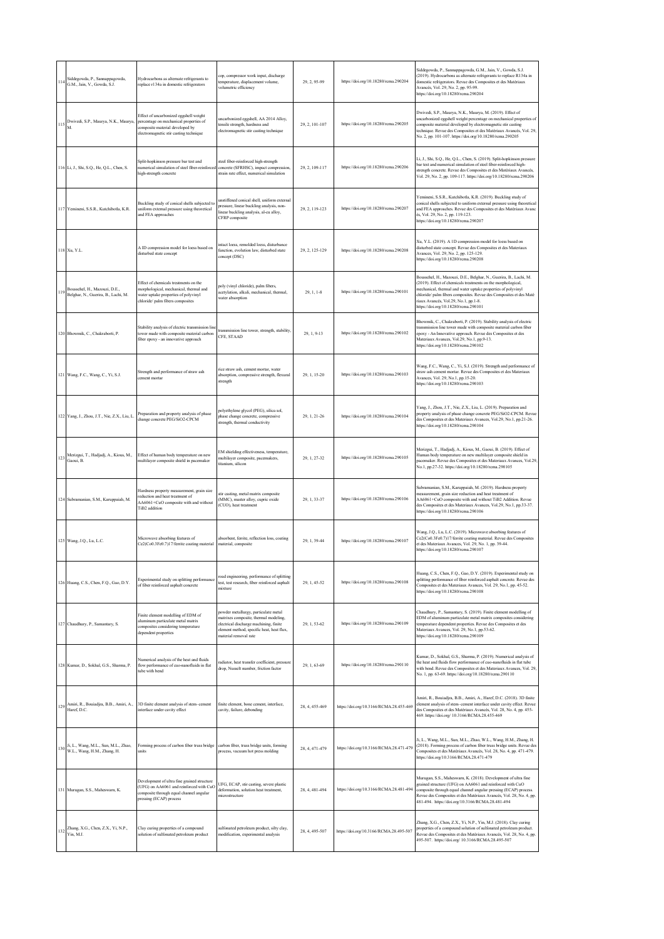| 114 | Siddegowda, P., Sannappagowda,<br>G.M., Jain, V., Gowda, S.J.        | Hydrocarbons as alternate refrigerants to<br>replace r134a in domestic refrigerators                                                                          | cop, compressor work input, discharge<br>temperature, displacement volume,<br>volumetric efficiency                                                                                           | 29, 2, 95-99   | https://doi.org/10.18280/rcma.290204    | Siddegowda, P., Sannappagowda, G.M., Jain, V., Gowda, S.J.<br>(2019). Hydrocarbons as alternate refrigerants to replace R134a in<br>domestic refrigerators. Revue des Composites et des Matériaux<br>Avancés, Vol. 29, No. 2, pp. 95-99.<br>https://doi.org/10.18280/rcma.290204                                                                        |
|-----|----------------------------------------------------------------------|---------------------------------------------------------------------------------------------------------------------------------------------------------------|-----------------------------------------------------------------------------------------------------------------------------------------------------------------------------------------------|----------------|-----------------------------------------|---------------------------------------------------------------------------------------------------------------------------------------------------------------------------------------------------------------------------------------------------------------------------------------------------------------------------------------------------------|
|     | Dwivedi, S.P., Maurya, N.K., Maurya,<br>M.                           | Effect of uncarbonized eggshell weight<br>percentage on mechanical properties of<br>composite material developed by<br>electromagnetic stir casting technique | uncarbonized eggshell, AA 2014 Alloy,<br>tensile strength, hardness and<br>electromagnetic stir casting technique                                                                             | 29, 2, 101-107 | https://doi.org/10.18280/rcma.290205    | Dwivedi, S.P., Maurya, N.K., Maurya, M. (2019). Effect of<br>uncarbonized eggshell weight percentage on mechanical properties of<br>composite material developed by electromagnetic stir casting<br>echnique. Revue des Composites et des Matériaux Avancés, Vol. 29,<br>No. 2, pp. 101-107. https://doi.org/10.18280/rcma.290205                       |
|     | 116 Li, J., Shi, S.Q., He, Q.L., Chen, S.                            | Split-hopkinson pressure bar test and<br>numerical simulation of steel fiber-reinforce<br>high-strength concrete                                              | steel fiber-reinforced high-strength<br>concrete (SFRHSC), impact compression,<br>strain rate effect, numerical simulation                                                                    | 29, 2, 109-117 | https://doi.org/10.18280/rcma.290206    | Li, J., Shi, S.Q., He, Q.L., Chen, S. (2019). Split-hopkinson pressure<br>bar test and numerical simulation of steel fiber-reinforced high-<br>strength concrete. Revue des Composites et des Matériaux Avancés,<br>Vol. 29, No. 2, pp. 109-117. https://doi.org/10.18280/rcma.290206                                                                   |
|     | 117 Yemineni, S.S.R., Kutchibotla, K.R.                              | Buckling study of conical shells subjected to<br>uniform external pressure using theoretical<br>and FEA approaches                                            | unstiffened conical shell, uniform external<br>ressure, linear buckling analysis, non-<br>linear buckling analysis, al-cu alloy,<br>CFRP composite                                            | 29.2.119-123   | https://doi.org/10.18280/rcma.290207    | Yemineni, S.S.R., Kutchibotla, K.R. (2019). Buckling study of<br>onical shells subjected to uniform external pressure using theoretical<br>and FEA approaches. Revue des Composites et des Matériaux Avanc<br>is, Vol. 29, No. 2, pp. 119-123.<br>https://doi.org/10.18280/rcma.290207                                                                  |
|     | 118 Xu, Y.L.                                                         | A ID compression model for loess based on<br>disturbed state concept                                                                                          | intact loess, remolded loess, disturbance<br>function, evolution law, disturbed state<br>concept (DSC)                                                                                        | 29, 2, 125-129 | https://doi.org/10.18280/rcma.290208    | Xu, Y.L. (2019). A 1D compression model for loess based on<br>disturbed state concept. Revue des Composites et des Materiaux<br>Avances, Vol. 29, No. 2, pp. 125-129.<br>https://doi.org/10.18280/rcma.290208                                                                                                                                           |
| 119 | Boussehel, H., Mazouzi, D.E.,<br>Belghar, N., Guerira, B., Lachi, M. | Effect of chemicals treatments on the<br>morphological, mechanical, thermal and<br>water uptake properties of polyvinyl<br>chloride/palm fibers composites    | poly (vinyl chloride), palm fibers,<br>acetylation, alkali, mechanical, thermal,<br>water absorption                                                                                          | 29, 1, 1-8     | https://doi.org/10.18280/rcma.290101    | Bousschel, H., Mazouzi, D.E., Belghar, N., Guerira, B., Lachi, M.<br>(2019). Effect of chemicals treatments on the morphological,<br>mechanical, thermal and water uptake properties of polyvinyl<br>chloride/ palm fibers composites. Revue des Composites et des Maté<br>riaux Avancés, Vol.29, No.1, pp.1-8.<br>attps://doi.org/10.18280/rcma.290101 |
|     | 120 Bhowmik, C., Chakraborti, P.                                     | Stability analysis of electric transmission line<br>tower made with composite material carbon<br>fiber epoxy - an innovative approach                         | transmission line tower, strength, stability,<br>CFE, STAAD                                                                                                                                   | 29, 1, 9-13    | https://doi.org/10.18280/rcma.290102    | Bhowmik, C., Chakraborti, P. (2019). Stability analysis of electric<br>transmission line tower made with composite material carbon fiber<br>poxy - An Innovative approach. Revue des Composites et des<br>Materiaux Avances, Vol.29, No.1, pp.9-13.<br>https://doi.org/10.18280/rcma.290102                                                             |
|     | 121 Wang, F.C., Wang, C., Yi, S.J.                                   | Strength and performance of straw ash<br>cement mortar                                                                                                        | rice straw ash, cement mortar, water<br>absorption, compressive strength, flexural<br>strength                                                                                                | 29.1.15-20     | https://doi.org/10.18280/rcma.290103    | Wang, F.C., Wang, C., Yi, S.J. (2019). Strength and performance of<br>straw ash cement mortar. Revue des Composites et des Materiaux<br>Avances, Vol. 29, No.1, pp.15-20.<br>https://doi.org/10.18280/rcma.290103                                                                                                                                       |
|     | 122 Yang, J., Zhou, J.T., Nie, Z.X., Liu, L.                         | Preparation and property analysis of phase<br>change concrete PEG/SiO2-CPCM                                                                                   | polyethylene glycol (PEG), silica sol,<br>phase change concrete, compressive<br>strength, thermal conductivity                                                                                | 29, 1, 21-26   | https://doi.org/10.18280/rcma.290104    | Yang, J., Zhou, J.T., Nie, Z.X., Liu, L. (2019). Preparation and<br>roperty analysis of phase change concrete PEG/SiO2-CPCM. Revue<br>des Composites et des Materiaux Avances, Vol.29, No.1, pp.21-26.<br>https://doi.org/10.18280/rcma.290104                                                                                                          |
| 123 | Merizgui, T., Hadjadj, A., Kious, M.,<br>Gaoui, B.                   | Effect of human body temperature on new<br>multilayer composite shield in pacemaker                                                                           | EM shielding effectiveness, temperature,<br>multilayer composite, pacemakers,<br>titanium, silicon                                                                                            | 29, 1, 27-32   | https://doi.org/10.18280/rcma.290105    | Merizgui, T., Hadjadj, A., Kious, M., Gaoui, B. (2019). Effect of<br>Human body temperature on new multilayer composite shield in<br>acemaker. Revue des Composites et des Materiaux Avances, Vol.29,<br>No.1, pp.27-32. https://doi.org/10.18280/rcma.290105                                                                                           |
|     | 124 Subramanian, S.M., Karuppaiah, M.                                | Hardness property measurement, grain size<br>reduction and heat treatment of<br>AA6061+CuO composite with and without<br>TiB2 addition                        | stir casting, metal matrix composite<br>(MMC), master alloy, cupric oxide<br>(CUO), heat treatment                                                                                            | 29, 1, 33-37   | https://doi.org/10.18280/rcma.290106    | Subramanian, S.M., Karuppaiah, M. (2019). Hardness property<br>neasurement, grain size reduction and heat treatment of<br>AA6061+CuO composite with and without TiB2 Addition. Revue<br>des Composites et des Materiaux Avances, Vol.29, No.1, pp.33-37.<br>https://doi.org/10.18280/rcma.290106                                                        |
|     | 125 Wang, J.Q., Lu, L.C.                                             | Microwave absorbing features of<br>Ce2(Co0.3Fe0.7)17/ferrite coating material                                                                                 | absorbent, ferrite, reflection loss, coating<br>material, composite                                                                                                                           | 29, 1, 39-44   | https://doi.org/10.18280/rcma.290107    | Wang, J.Q., Lu, L.C. (2019). Microwave absorbing features of<br>Ce2(Co0.3Fe0.7)17/ferrite coating material. Revue des Composites<br>et des Materiaux Avances, Vol. 29, No. 1, pp. 39-44.<br>https://doi.org/10.18280/rcma.290107                                                                                                                        |
|     | 126 Huang, C.S., Chen, F.Q., Gao, D.Y.                               | Experimental study on splitting performanc<br>of fiber reinforced asphalt concrete                                                                            | road engineering, performance of splitting<br>test, test research, fiber reinforced asphalt<br>mixture                                                                                        | 29, 1, 45-52   | https://doi.org/10.18280/rcma.290108    | Huang, C.S., Chen, F.Q., Gao, D.Y. (2019). Experimental study on<br>splitting performance of fiber reinforced asphalt concrete. Revue des<br>Composites et des Materiaux Avances, Vol. 29, No.1, pp. 45-52.<br>https://doi.org/10.18280/rcma.290108                                                                                                     |
|     | 127 Chaudhury, P., Samantary, S.                                     | Finite element modelling of EDM of<br>aluminum particulate metal matrix<br>composites considering temperature<br>dependent properties                         | powder metallurgy, particulate metal<br>matrixes composite, thermal modeling,<br>electrical discharge machining, finite<br>element method, specific heat, heat flux,<br>material removal rate | 29.1.53-62     | https://doi.org/10.18280/rcma.290109    | Chaudhury, P., Samantary, S. (2019). Finite element modelling of<br>EDM of aluminum particulate metal matrix composites considering<br>emperature dependent properties. Revue des Composites et des<br>Materiaux Avances, Vol. 29, No.1, pp.53-62.<br>https://doi.org/10.18280/rcma.290109                                                              |
|     | 128 Kumar, D., Sokhal, G.S., Sharma, P.                              | Numerical analysis of the heat and fluids<br>flow performance of cuo-nanofluids in flat<br>tube with bend                                                     | radiator, heat transfer coefficient, pressure<br>drop, Nusselt number, friction factor                                                                                                        | 29, 1, 63-69   | https://doi.org/10.18280/rcma.290110    | Kumar, D., Sokhal, G.S., Sharma, P. (2019). Numerical analysis of<br>the heat and fluids flow performance of cuo-nanofluids in flat tube<br>with bend. Revue des Composites et des Materiaux Avances, Vol. 29,<br>No. 1, pp. 63-69. https://doi.org/10.18280/rcma.290110                                                                                |
| 129 | Amiri, R., Bouiadjra, B.B., Amiri, A.,<br>Haref, D.C.                | 3D finite element analysis of stem-cement<br>interface under cavity effect                                                                                    | finite element, bone cement, interface.<br>cavity, failure, debonding                                                                                                                         | 28, 4, 455-469 | https://doi.org/10.3166/RCMA.28.455-469 | Amiri, R., Bouiadjra, B.B., Amiri, A., Haref, D.C. (2018). 3D finite<br>element analysis of stem-cement interface under cavity effect. Revue<br>les Composites et des Matériaux Avancés, Vol. 28, No. 4, pp. 455-<br>469. https://doi.org/ 10.3166/RCMA.28.455-469                                                                                      |
| 130 | Ji, L., Wang, M.L., Sun, M.L., Zhao,<br>W.L., Wang, H.M., Zhang, H.  | Forming process of carbon fiber truss bridge<br>units                                                                                                         | carbon fiber, truss bridge units, forming<br>process, vacuum hot press molding                                                                                                                | 28, 4, 471-479 | https://doi.org/10.3166/RCMA.28.471-479 | Ji, L., Wang, M.L., Sun, M.L., Zhao, W.L., Wang, H.M., Zhang, H.<br>(2018). Forming process of carbon fiber truss bridge units. Revue des<br>Composites et des Matériaux Avancés, Vol. 28, No. 4, pp. 471-479.<br>https://doi.org/10.3166/RCMA.28.471-479                                                                                               |
|     | 131 Murugan, S.S., Maheswarn, K.                                     | Development of ultra fine grained structure<br>(UFG) on AA6061 and reinforced with CuO<br>composite through equal channel angular<br>pressing (ECAP) process  | UFG, ECAP, stir casting, severe plastic<br>deformation, solution heat treatment,<br>microstructure                                                                                            | 28, 4, 481-494 | https://doi.org/10.3166/RCMA.28.481-494 | Murugan, S.S., Maheswarn, K. (2018). Development of ultra fine<br>grained structure (UFG) on AA6061 and reinforced with CuO<br>composite through equal channel angular pressing (ECAP) process.<br>Revue des Composites et des Matériaux Avancés, Vol. 28, No. 4, pp.<br>481-494. https://doi.org/10.3166/RCMA.28.481-494                               |
| 132 | Zhang, X.G., Chen, Z.X., Yi, N.P.,<br>Yin, M.J.                      | Clay curing properties of a compound<br>solution of sulfonated petroleum product                                                                              | sulfonated petroleum product, silty clay,<br>modification, experimental analysis                                                                                                              | 28, 4, 495-507 | https://doi.org/10.3166/RCMA.28.495-507 | Zhang, X.G., Chen, Z.X., Yi, N.P., Yin, M.J. (2018). Clay curing<br>properties of a compound solution of sulfonated petroleum product.<br>Revue des Composites et des Matériaux Avancés, Vol. 28, No. 4, pp.<br>495-507. https://doi.org/ 10.3166/RCMA.28.495-507                                                                                       |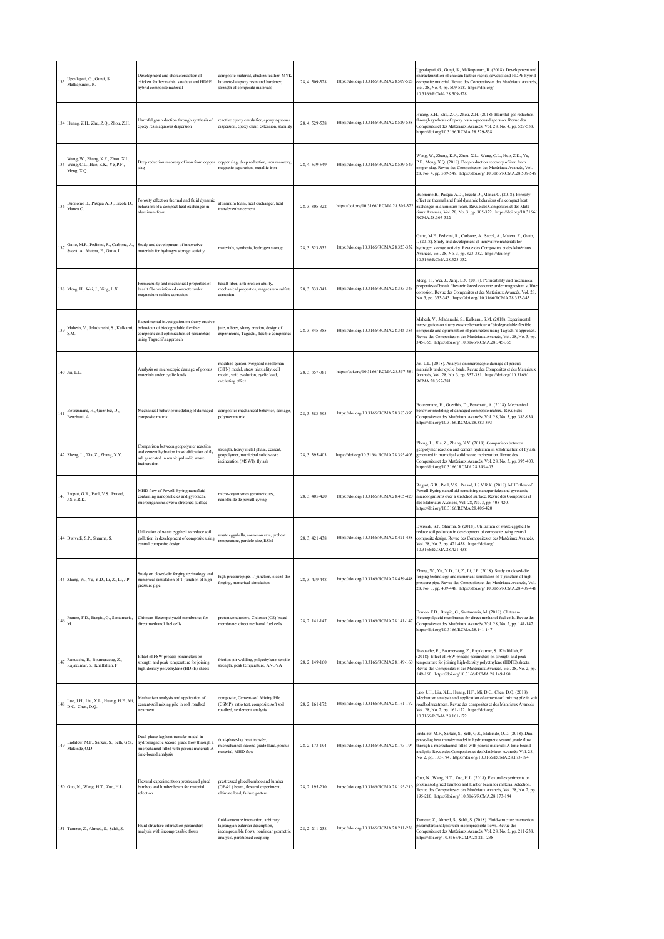| 133     | Uppalapati, G., Gunji, S.,<br>Malkapuram, R.                                             | Development and characterization of<br>chicken feather rachis, sawdust and HDPE<br>hybrid composite material                                                | composite material, chicken feather, MYK<br>laticrete-latapoxy resin and hardener,<br>strength of composite materials                                     | 28, 4, 509-528 | https://doi.org/10.3166/RCMA.28.509-528 | Uppalapati, G., Gunji, S., Malkapuram, R. (2018). Development and<br>characterization of chicken feather rachis, sawdust and HDPE hybrid<br>composite material. Revue des Composites et des Matériaux Avancés,<br>Vol. 28, No. 4, pp. 509-528. https://doi.org/<br>10.3166/RCMA.28.509-528                                                     |
|---------|------------------------------------------------------------------------------------------|-------------------------------------------------------------------------------------------------------------------------------------------------------------|-----------------------------------------------------------------------------------------------------------------------------------------------------------|----------------|-----------------------------------------|------------------------------------------------------------------------------------------------------------------------------------------------------------------------------------------------------------------------------------------------------------------------------------------------------------------------------------------------|
|         | 134 Huang, Z.H., Zhu, Z.Q., Zhou, Z.H.                                                   | Harmful gas reduction through synthesis of<br>epoxy resin aqueous dispersion                                                                                | reactive epoxy emulsifier, epoxy aqueous<br>dispersion, epoxy chain extension, stability                                                                  | 28, 4, 529-538 | https://doi.org/10.3166/RCMA.28.529-538 | Huang, Z.H., Zhu, Z.Q., Zhou, Z.H. (2018). Harmful gas reduction<br>through synthesis of epoxy resin aqueous dispersion. Revue des<br>Composites et des Matériaux Avancés, Vol. 28, No. 4, pp. 529-538.<br>https://doi.org/10.3166/RCMA.28.529-538                                                                                             |
|         | Wang, W., Zhang, K.F., Zhou, X.L.,<br>135 Wang, C.L., Huo, Z.K., Ye, P.F.,<br>Meng, X.Q. | Deep reduction recovery of iron from copper copper slag, deep reduction, iron recovery,<br>slag                                                             | magnetic separation, metallic iron                                                                                                                        | 28, 4, 539-549 | https://doi.org/10.3166/RCMA.28.539-549 | Wang, W., Zhang, K.F., Zhou, X.L., Wang, C.L., Huo, Z.K., Ye,<br>P.F., Meng, X.Q. (2018). Deep reduction recovery of iron from<br>copper slag. Revue des Composites et des Matériaux Avancés, Vol.<br>28, No. 4, pp. 539-549. https://doi.org/ 10.3166/RCMA.28.539-549                                                                         |
| 136     | Buonomo B., Pasqua A.D., Ercole D.,<br>Manca O.                                          | Porosity effect on thermal and fluid dynamic<br>behaviors of a compact heat exchanger in<br>aluminum foam                                                   | aluminum foam, heat exchanger, heat<br>transfer enhancement                                                                                               | 28, 3, 305-322 | https://doi.org/10.3166/RCMA.28.305-322 | Buonomo B., Pasqua A.D., Ercole D., Manca O. (2018). Porosity<br>effect on thermal and fluid dynamic behaviors of a compact heat<br>exchanger in aluminum foam, Revue des Composites et des Maté<br>riaux Avancés, Vol. 28, No. 3, pp. 305-322. https://doi.org/10.3166/<br>RCMA 28 305-322                                                    |
|         | 137 Gatto, M.F., Pedicini, R., Carbone, A.,<br>Saccà, A., Matera, F., Gatto, I.          | Study and development of innovative<br>materials for hydrogen storage activity                                                                              | materials, synthesis, hydrogen storage                                                                                                                    | 28, 3, 323-332 | https://doi.org/10.3166/RCMA.28.323-332 | Gatto, M.F., Pedicini, R., Carbone, A., Saccà, A., Matera, F., Gatto,<br>I. (2018). Study and development of innovative materials for<br>hydrogen storage activity. Revue des Composites et des Matériaux<br>Avancés, Vol. 28, No. 3, pp. 323-332. https://doi.org/<br>10.3166/RCMA.28.323-332                                                 |
|         | 138 Meng, H., Wei, J., Xing, L.X.                                                        | Permeability and mechanical properties of<br>basalt fiber-reinforced concrete under<br>magnesium sulfate corrosion                                          | basalt fiber, anti-erosion ability,<br>mechanical properties, magnesium sulfate<br>corrosion                                                              | 28, 3, 333-343 | https://doi.org/10.3166/RCMA.28.333-343 | Meng, H., Wei, J., Xing, L.X. (2018). Permeability and mechanical<br>properties of basalt fiber-reinforced concrete under magnesium sulfate<br>corrosion. Revue des Composites et des Matériaux Avancés, Vol. 28,<br>No. 3, pp. 333-343. https://doi.org/ 10.3166/RCMA.28.333-343                                                              |
| 139     | Mahesh, V., Joladarashi, S., Kulkami,<br>S.M.                                            | Experimental investigation on slurry erosive<br>behaviour of biodegradable flexible<br>composite and optimization of parameters<br>using Taguchi's approach | jute, rubber, slurry erosion, design of<br>experiments, Taguchi, flexible composites                                                                      | 28, 3, 345-355 | https://doi.org/10.3166/RCMA.28.345-355 | Mahesh, V., Joladarashi, S., Kulkarni, S.M. (2018). Experimental<br>investigation on slurry erosive behaviour of biodegradable flexible<br>composite and optimization of parameters using Taguchi's approach.<br>Revue des Composites et des Matériaux Avancés, Vol. 28, No. 3, pp.<br>345-355. https://doi.org/ 10.3166/RCMA.28.345-355       |
|         | 140 Jin, L.L.                                                                            | Analysis on microscopic damage of porous<br>materials under cyclic loads                                                                                    | modified gurson-tvergaard-needleman<br>(GTN) model, stress triaxiality, cell<br>model, void evolution, cyclic load,<br>ratcheting effect                  | 28, 3, 357-381 | https://doi.org/10.3166/RCMA.28.357-381 | Jin, L.L. (2018). Analysis on microscopic damage of porous<br>materials under cyclic loads. Revue des Composites et des Matériaux<br>Avancés, Vol. 28, No. 3, pp. 357-381. https://doi.org/ 10.3166/<br>RCMA.28.357-381                                                                                                                        |
| 141     | Bourennane, H., Gueribiz, D.,<br>Benchatti, A.                                           | Mechanical behavior modeling of damaged<br>composite matrix                                                                                                 | composites mechanical behavior, damage,<br>polymer matrix                                                                                                 | 28, 3, 383-393 | https://doi.org/10.3166/RCMA.28.383-393 | Bourennane, H., Gueribiz, D., Benchatti, A. (2018). Mechanical<br>behavior modeling of damaged composite matrix Revue des<br>Composites et des Matériaux Avancés, Vol. 28, No. 3, pp. 383-939.<br>https://doi.org/10.3166/RCMA.28.383-393                                                                                                      |
|         | 142 Zheng, L., Xia, Z., Zhang, X.Y.                                                      | Comparison between geopolymer reaction<br>and cement hydration in solidification of fly<br>ash generated in municipal solid waste<br>incineration           | strength, heavy metal phase, cement,<br>geopolymer, municipal solid waste<br>incineration (MSWI), fly ash                                                 | 28, 3, 395-403 | https://doi.org/10.3166/RCMA.28.395-403 | Zheng, L., Xia, Z., Zhang, X.Y. (2018). Comparison between<br>geopolymer reaction and cement hydration in solidification of fly ash<br>generated in municipal solid waste incineration. Revue des<br>Composites et des Matériaux Avancés, Vol. 28, No. 3, pp. 395-403.<br>https://doi.org/10.3166/RCMA.28.395-403                              |
|         | 143 Rajput, G.R., Patil, V.S., Prasad,<br>J.S.V.R.K.                                     | MHD flow of Powell-Eyring nanofluid<br>containing nanoparticles and gyrotactic<br>microorganisms over a stretched surface                                   | micro-organismes gyrotactiques,<br>nanofluide de powell-eyring                                                                                            | 28, 3, 405-420 | https://doi.org/10.3166/RCMA.28.405-420 | Rajput, G.R., Patil, V.S., Prasad, J.S.V.R.K. (2018). MHD flow of<br>Powell-Eyring nanofluid containing nanoparticles and gyrotactic<br>microorganisms over a stretched surface. Revue des Composites et<br>des Matériaux Avancés, Vol. 28, No. 3, pp. 405-420.<br>https://doi.org/10.3166/RCMA.28.405-420                                     |
|         | 144 Dwivedi, S.P., Sharma, S.                                                            | Utilization of waste eggshell to reduce soil<br>pollution in development of composite using<br>central composite design                                     | waste eggshells, corrosion rate, preheat<br>temperature, particle size, RSM                                                                               | 28, 3, 421-438 | https://doi.org/10.3166/RCMA.28.421-438 | Dwivedi, S.P., Sharma, S. (2018). Utilization of waste eggshell to<br>reduce soil pollution in development of composite using central<br>composite design. Revue des Composites et des Matériaux Avancés,<br>Vol. 28, No. 3, pp. 421-438. https://doi.org/<br>10.3166/RCMA 28.421-438                                                          |
|         | 145 Zhang, W., Yu, Y.D., Li, Z., Li, J.P.                                                | Study on closed-die forging technology and<br>numerical simulation of T-junction of high-<br>pressure pipe                                                  | high-pressure pipe, T-junction, closed-die<br>forging, numerical simulation                                                                               | 28, 3, 439-448 | https://doi.org/10.3166/RCMA.28.439-448 | Zhang, W., Yu, Y.D., Li, Z., Li, J.P. (2018). Study on closed-die<br>forging technology and numerical simulation of T-junction of high-<br>pressure pipe. Revue des Composites et des Matériaux Avancés, Vol.<br>28, No. 3, pp. 439-448. https://doi.org/ 10.3166/RCMA.28.439-448                                                              |
| 146     | M.                                                                                       | Franco, F.D., Burgio, G., Santamaria, Chitosan-Heteropolyacid membranes for<br>direct methanol fuel cells                                                   | proton conductors, Chitosan (CS)-based<br>membrane, direct methanol fuel cells                                                                            | 28, 2, 141-147 | https://doi.org/10.3166/RCMA.28.141-147 | Franco, F.D., Burgio, G., Santamaria, M. (2018). Chitosan-<br>Heteropolyacid membranes for direct methanol fuel cells. Revue des<br>Composites et des Matériaux Avancés, Vol. 28, No. 2, pp. 141-147.<br>https://doi.org/10.3166/RCMA.28.141-147                                                                                               |
| 147     | Raouache, E., Boumerzoug, Z.,<br>Rajakumar, S., Khalfallah, F.                           | Effect of FSW process parameters on<br>strength and peak temperature for joining<br>high-density polyethylene (HDPE) sheets                                 | friction stir welding, polyethylene, tensile<br>strength, peak temperature, ANOVA                                                                         | 28, 2, 149-160 | https://doi.org/10.3166/RCMA.28.149-160 | Raouache, E., Boumerzoug, Z., Rajakumar, S., Khalfallah, F.<br>(2018). Effect of FSW process parameters on strength and peak<br>temperature for joining high-density polyethylene (HDPE) sheets.<br>Revue des Composites et des Matériaux Avancés, Vol. 28, No. 2, pp.<br>149-160. https://doi.org/10.3166/RCMA.28.149-160                     |
| $148\,$ | Luo, J.H., Liu, X.L., Huang, H.F., Mi,<br>D.C., Chen, D.Q.                               | Mechanism analysis and application of<br>cement-soil mixing pile in soft roadbed<br>treatment                                                               | composite, Cement-soil Mixing Pile<br>(CSMP), ratio test, composite soft soil<br>roadbed, settlement analysis                                             | 28, 2, 161-172 | https://doi.org/10.3166/RCMA.28.161-172 | Luo, J.H., Liu, X.L., Huang, H.F., Mi, D.C., Chen, D.Q. (2018).<br>Mechanism analysis and application of cement-soil mixing pile in soft<br>roadbed treatment. Revue des composites et des Matériaux Avancés,<br>Vol. 28, No. 2, pp. 161-172. https://doi.org/<br>10.3166/RCMA.28.161-172                                                      |
| 149     | Endalew, M.F., Sarkar, S., Seth, G.S.,<br>Makinde, O.D.                                  | Dual-phase-lag heat transfer model in<br>hydromagnetic second grade flow through a<br>microchannel filled with porous material: A<br>time-bound analysis    | dual-phase-lag heat transfer,<br>microchannel, second grade fluid, porous<br>material, MHD flow                                                           | 28, 2, 173-194 | https://doi.org/10.3166/RCMA.28.173-194 | Endalew, M.F., Sarkar, S., Seth, G.S., Makinde, O.D. (2018). Dual-<br>phase-lag heat transfer model in hydromagnetic second grade flow<br>through a microchannel filled with porous material: A time-bound<br>analysis. Revue des Composites et des Matériaux Avancés, Vol. 28,<br>No. 2, pp. 173-194. https://doi.org/10.3166/RCMA.28.173-194 |
|         | 150 Guo, N., Wang, H.T., Zuo, H.L.                                                       | Flexural experiments on prestressed glued<br>bamboo and lumber beam for material<br>selection                                                               | prestressed glued bamboo and lumber<br>(GB&L) beam, flexural experiment,<br>ultimate load, failure pattern                                                | 28, 2, 195-210 | https://doi.org/10.3166/RCMA.28.195-210 | Guo, N., Wang, H.T., Zuo, H.L. (2018). Flexural experiments on<br>prestressed glued bamboo and lumber beam for material selection.<br>Revue des Composites et des Matériaux Avancés, Vol. 28, No. 2, pp.<br>195-210. https://doi.org/ 10.3166/RCMA.28.173-194                                                                                  |
|         | 151 Tameur, Z., Ahmed, S., Sahli, S.                                                     | Fluid-structure interaction parameters<br>analysis with incompressible flows                                                                                | fluid-structure interaction, arbitrary<br>lagrangian-eulerian description,<br>incompressible flows, nonlinear geometric<br>analysis, partitioned coupling | 28, 2, 211-238 | https://doi.org/10.3166/RCMA.28.211-238 | Tameur, Z., Ahmed, S., Sahli, S. (2018). Fluid-structure interaction<br>parameters analysis with incompressible flows. Revue des<br>Composites et des Matériaux Avancés, Vol. 28, No. 2, pp. 211-238.<br>https://doi.org/ 10.3166/RCMA.28.211-238                                                                                              |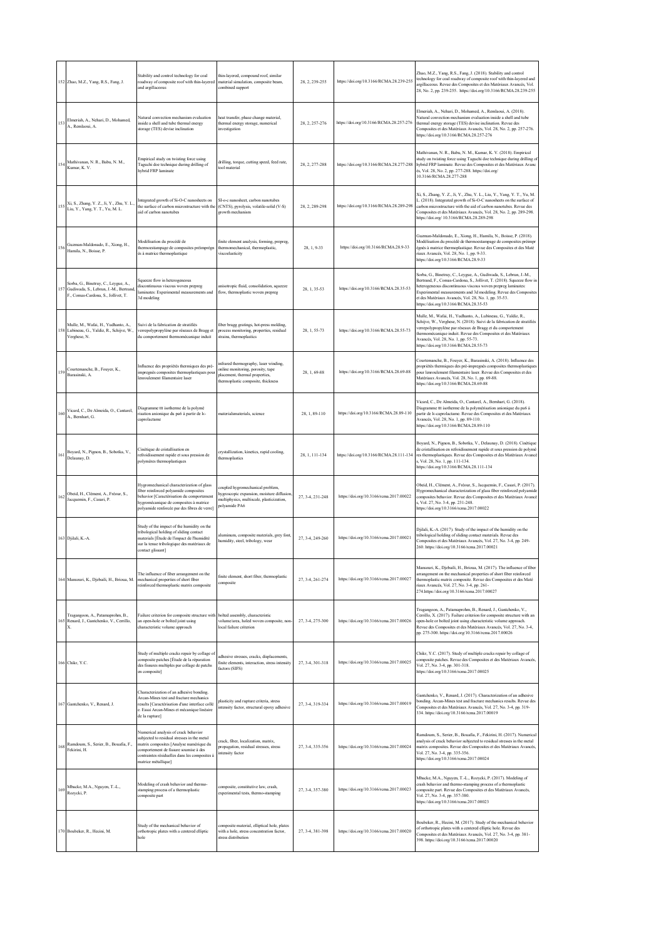|     | 152 Zhao, M.Z., Yang, R.S., Fang, J.                                                                                      | Stability and control technology for coal<br>roadway of composite roof with thin-layered<br>and argillaceous                                                                                                                                    | thin-layered, compound roof, similar<br>material simulation, composite beam,<br>combined support                                                 | 28, 2, 239-255   | https://doi.org/10.3166/RCMA.28.239-255 | Zhao, M.Z., Yang, R.S., Fang, J. (2018). Stability and control<br>technology for coal roadway of composite roof with thin-layered and<br>argillaceous. Revue des Composites et des Matériaux Avancés, Vol.<br>28, No. 2, pp. 239-255. https://doi.org/10.3166/RCMA.28.239-255                                                                                                  |
|-----|---------------------------------------------------------------------------------------------------------------------------|-------------------------------------------------------------------------------------------------------------------------------------------------------------------------------------------------------------------------------------------------|--------------------------------------------------------------------------------------------------------------------------------------------------|------------------|-----------------------------------------|--------------------------------------------------------------------------------------------------------------------------------------------------------------------------------------------------------------------------------------------------------------------------------------------------------------------------------------------------------------------------------|
| 153 | Elmeriah, A., Nehari, D., Mohamed,<br>A., Remlaoui, A.                                                                    | Natural convection mechanism evaluation<br>inside a shell and tube thermal energy<br>storage (TES) devise inclination                                                                                                                           | heat transfer, phase change material,<br>thermal energy storage, numerical<br>investigation                                                      | 28, 2, 257-276   | https://doi.org/10.3166/RCMA.28.257-276 | Elmeriah, A., Nehari, D., Mohamed, A., Remlaoui, A. (2018).<br>Natural convection mechanism evaluation inside a shell and tube<br>thermal energy storage (TES) devise inclination. Revue des<br>Composites et des Matériaux Avancés, Vol. 28, No. 2, pp. 257-276.<br>https://doi.org/10.3166/RCMA.28.257-276                                                                   |
| 154 | Mathivanan, N. R., Babu, N. M.,<br>Kumar, K. V.                                                                           | Empirical study on twisting force using<br>Taguchi doe technique during drilling of<br>hybrid FRP laminate                                                                                                                                      | drilling, torque, cutting speed, feed rate,<br>tool material                                                                                     | 28, 2, 277-288   | https://doi.org/10.3166/RCMA.28.277-288 | Mathivanan, N. R., Babu, N. M., Kumar, K. V. (2018). Empirical<br>study on twisting force using Taguchi doe technique during drilling of<br>hybrid FRP laminate. Revue des Composites et des Matériaux Avanc<br>és, Vol. 28, No. 2, pp. 277-288. https://doi.org/<br>10.3166/RCMA.28.277-288                                                                                   |
| 155 | Xi, S., Zhang, Y. Z., Ji, Y., Zhu, Y. L.<br>Liu, Y., Yang, Y. T., Yu, M. L.                                               | Integrated growth of Si-O-C nanosheets on<br>the surface of carbon microstructure with the<br>aid of carbon nanotubes                                                                                                                           | SI-o-c nanosheet, carbon nanotubes<br>(CNTS), pyrolysis, volatile-solid (V-S)<br>growth mechanism                                                | 28, 2, 289-298   | https://doi.org/10.3166/RCMA.28.289-298 | Xi, S., Zhang, Y. Z., Ji, Y., Zhu, Y. L., Liu, Y., Yang, Y. T., Yu, M.<br>L. (2018). Integrated growth of Si-O-C nanosheets on the surface of<br>carbon microstructure with the aid of carbon nanotubes. Revue des<br>Composites et des Matériaux Avancés, Vol. 28, No. 2, pp. 289-298.<br>https://doi.org/ 10.3166/RCMA.28.289-298                                            |
| 156 | Guzman-Maldonado, E., Xiong, H.,<br>Hamila, N., Boisse, P.                                                                | Modélisation du procédé de<br>thermoestampage de composites préimprégn<br>és à matrice thermoplastique                                                                                                                                          | finite element analysis, forming, prepreg,<br>thermomechanical, thermoplastic,<br>viscoelasticity                                                | 28, 1, 9-33      | https://doi.org/10.3166/RCMA.28.9-33    | Guzman-Maldonado, E., Xiong, H., Hamila, N., Boisse, P. (2018).<br>Modélisation du procédé de thermoestampage de composites préimpr<br>égnés à matrice thermoplastique. Revue des Composites et des Maté<br>riaux Avancés, Vol. 28, No. 1, pp. 9-33.<br>https://doi.org/10.3166/RCMA.28.9-33                                                                                   |
|     | Sorba, G., Binetruy, C., Leygue, A.,<br>157 Gudiwada, S., Lebrun, J.-M., Bertrand.<br>F., Comas-Cardona, S., Jollivet, T. | Squeeze flow in heterogeneous<br>discontinuous viscous woven prepreg<br>laminates: Experimental measurements and<br>3d modeling                                                                                                                 | anisotropic fluid, consolidation, squeeze<br>flow, thermoplastic woven prepreg                                                                   | 28, 1, 35-53     | https://doi.org/10.3166/RCMA.28.35-53   | Sorba, G., Binetruy, C., Leygue, A., Gudiwada, S., Lebrun, J.-M.,<br>Bertrand, F., Comas-Cardona, S., Jollivet, T. (2018). Squeeze flow in<br>heterogeneous discontinuous viscous woven prepreg laminates:<br>Experimental measurements and 3d modeling. Revue des Composites<br>et des Matériaux Avancés, Vol. 28, No. 1, pp. 35-53.<br>https://doi.org/10.3166/RCMA.28.35-53 |
| 158 | Mulle, M., Wafai, H., Yudhanto, A.,<br>Lubineau, G., Yaldiz, R., Schijve, W.,<br>Verghese, N.                             | Suivi de la fabrication de stratifiés<br>verrepolypropylène par réseaux de Bragg et<br>du comportement thermomécanique induit                                                                                                                   | fiber bragg gratings, hot-press molding,<br>rocess monitoring, properties, residual<br>strains, thermoplastics                                   | 28, 1, 55-73     | https://doi.org/10.3166/RCMA.28.55-73   | Mulle, M., Wafai, H., Yudhanto, A., Lubineau, G., Yaldiz, R.,<br>Schijve, W., Verghese, N. (2018). Suivi de la fabrication de stratifiés<br>verrepolypropylène par réseaux de Bragg et du comportement<br>thermomécanique induit. Revue des Composites et des Matériaux<br>Avancés, Vol. 28, No. 1, pp. 55-73.<br>https://doi.org/10.3166/RCMA.28.55-73                        |
| 159 | Courtemanche, B., Fouyer, K.,<br>Barasinski, A.                                                                           | Influence des propriétés thermiques des pré-<br>impregnés composites thermoplastiques pou<br>lenroulement filamentaire laser                                                                                                                    | infrared thermography, laser winding,<br>mline monitoring, porosity, tape<br>placement, thermal properties,<br>hermoplastic composite, thickness | 28.1.69-88       | https://doi.org/10.3166/RCMA.28.69-88   | Courtemanche, B., Fouyer, K., Barasinski, A. (2018). Influence des<br>propriétés thermiques des pré-impregnés composites thermoplastiques<br>pour lenroulement filamentaire laser. Revue des Composites et des<br>Matériaux Avancés, Vol. 28, No. 1, pp. 69-88.<br>https://doi.org/10.3166/RCMA.28.69-88                                                                       |
| 160 | Vicard, C., De Almeida, O., Cantarel,<br>A., Bernhart, G.                                                                 | Diagramme ttt isotherme de la polymé<br>risation anionique du pa6 à partir de le-<br>caprolactame                                                                                                                                               | materialsmaterials, science                                                                                                                      | 28, 1, 89-110    | https://doi.org/10.3166/RCMA.28.89-110  | Vicard, C., De Almeida, O., Cantarel, A., Bernhart, G. (2018).<br>Diagramme ttt isotherme de la polymérisation anionique du pa6 à<br>partir de le-caprolactame. Revue des Composites et des Matériaux<br>Avancés, Vol. 28, No. 1, pp. 89-110.<br>https://doi.org/10.3166/RCMA.28.89-110                                                                                        |
| 161 | Boyard, N., Pignon, B., Sobotka, V.,<br>Delaunay, D.                                                                      | Cinétique de cristallisation en<br>refroidissement rapide et sous pression de<br>polymères thermoplastiques                                                                                                                                     | crystallization, kinetics, rapid cooling,<br>thermoplastics                                                                                      | 28, 1, 111-134   | https://doi.org/10.3166/RCMA.28.111-134 | Boyard, N., Pignon, B., Sobotka, V., Delaunay, D. (2018). Cinétique<br>de cristallisation en refroidissement rapide et sous pression de polymè<br>res thermoplastiques. Revue des Composites et des Matériaux Avancé<br>s, Vol. 28, No. 1, pp. 111-134.<br>https://doi.org/10.3166/RCMA.28.111-134                                                                             |
| 162 | Obeid, H., Clément, A., Fréour, S.,<br>Jacquemin, F., Casari, P.                                                          | Hygromechanical characterization of glass<br>fiber reinforced polyamide composites<br>behavior [Caractérisation du comportement<br>hygromécanique de composites à matrice<br>polyamide renforcée par des fibres de verre]                       | oupled hygromechanical problem,<br>tygroscopic expansion, moisture diffusion<br>nultiphysics, multiscale, plasticization,<br>oolyamide PA6       | 27, 3-4, 231-248 | https://doi.org/10.3166/rcma.2017.00022 | Obeid, H., Clément, A., Fréour, S., Jacquemin, F., Casari, P. (2017).<br>Hygromechanical characterization of glass fiber reinforced polyamide<br>composites behavior. Revue des Composites et des Matériaux Avancé<br>s, Vol. 27, No. 3-4, pp. 231-248.<br>https://doi.org/10.3166/rcma.2017.00022                                                                             |
|     | 163 Djilali, K.-A.                                                                                                        | Study of the impact of the humidity on the<br>tribological holding of sliding contact<br>materials [Étude de l'impact de l'humidité<br>sur la tenue tribologique des matériaux de<br>contact glissant]                                          | duminum, composite materials, grey font,<br>umidity, steel, tribology, wear                                                                      | 27, 3-4, 249-260 | https://doi.org/10.3166/rcma.2017.00021 | Djilali, K.-A. (2017). Study of the impact of the humidity on the<br>tribological holding of sliding contact materials. Revue des<br>Composites et des Matériaux Avancés, Vol. 27, No. 3-4, pp. 249-<br>260. https://doi.org/10.3166/rcma.2017.00021                                                                                                                           |
|     | 164 Mansouri, K., Djebaili, H., Brioua, M.                                                                                | The influence of fiber arrangement on the<br>mechanical properties of short fiber<br>reinforced thermoplastic matrix composite                                                                                                                  | finite element, short fiber, thermoplastic<br>composite                                                                                          | 27, 3-4, 261-274 | https://doi.org/10.3166/rcma.2017.00027 | Mansouri, K., Djebaili, H., Brioua, M. (2017). The influence of fiber<br>arrangement on the mechanical properties of short fiber reinforced<br>thermoplastic matrix composite. Revue des Composites et des Maté<br>riaux Avancés, Vol. 27, No. 3-4, pp. 261-<br>274.https://doi.org/10.3166/rcma.2017.00027                                                                    |
|     | Tragangoon, A., Patamaprohm, B.,<br>165 Renard, J., Gantchenko, V., Cerrillo,                                             | Failure criterion for composite structure with<br>an open-hole or bolted joint using<br>characteristic volume approach                                                                                                                          | bolted assembly, characteristic<br>volume/area, holed woven composite, non<br>ocal failure criterion                                             | 27, 3-4, 275-300 | https://doi.org/10.3166/rcma.2017.00026 | Tragangoon, A., Patamaprohm, B., Renard, J., Gantchenko, V.,<br>Cerrillo, X. (2017). Failure criterion for composite structure with an<br>open-hole or bolted joint using characteristic volume approach.<br>Revue des Composites et des Matériaux Avancés, Vol. 27, No. 3-4,<br>pp. 275-300. https://doi.org/10.3166/rcma.2017.00026                                          |
|     | 166 Chikr, Y.C.                                                                                                           | Study of multiple cracks repair by collage of<br>composite patches [Étude de la réparation<br>des fissures multiples par collage de patchs<br>en compositel                                                                                     | dhesive stresses, cracks, displacements,<br>finite elements, interaction, stress intensity<br>actors (SIFS)                                      | 27.3-4.301-318   | https://doi.org/10.3166/rcma.2017.00025 | Chikr, Y.C. (2017). Study of multiple cracks repair by collage of<br>composite patches. Revue des Composites et des Matériaux Avancés,<br>Vol. 27, No. 3-4, pp. 301-318.<br>https://doi.org/10.3166/rcma.2017.00025                                                                                                                                                            |
|     | 167 Gantchenko, V., Renard, J.                                                                                            | Characterization of an adhesive bonding.<br>Arcan-Mines test and fracture mechanics<br>results [Caractérisation d'une interface collé<br>e. Essai Arcan-Mines et mécanique linéaire<br>de la rupture]                                           | lasticity and rupture criteria, stress<br>ntensity factor, structural epoxy adhesive                                                             | 27, 3-4, 319-334 | https://doi.org/10.3166/rcma.2017.00019 | Gantchenko, V., Renard, J. (2017). Characterization of an adhesive<br>bonding. Arean-Mines test and fracture mechanics results. Revue des<br>Composites et des Matériaux Avancés, Vol. 27, No. 3-4, pp. 319-<br>334. https://doi.org/10.3166/rcma.2017.00019                                                                                                                   |
| 168 | Ramdoum, S., Serier, B., Bouafia, F.,<br>Fekirini, H.                                                                     | Numerical analysis of crack behavior<br>subjected to residual stresses in the metal<br>matrix composites [Analyse numérique du<br>comportement de fissure soumise à des<br>contraintes résiduelles dans les composites à<br>matrice métallique] | rack, fiber, localization, matrix,<br>propagation, residual stresses, stress<br>ntensity factor                                                  | 27, 3-4, 335-356 | https://doi.org/10.3166/rcma.2017.00024 | Ramdoum, S., Serier, B., Bouafia, F., Fekirini, H. (2017). Numerical<br>analysis of crack behavior subjected to residual stresses in the metal<br>matrix composites. Revue des Composites et des Matériaux Avancés,<br>Vol. 27, No. 3-4, pp. 335-356.<br>https://doi.org/10.3166/rcma.2017.00024                                                                               |
| 169 | Mbacke, M.A., Nguyen, T.-L.,<br>Rozycki, P.                                                                               | Modeling of crash behavior and thermo-<br>stamping process of a thermoplastic<br>composite part                                                                                                                                                 | composite, constitutive law, crash,<br>experimental tests, thermo-stamping                                                                       | 27.3-4.357-380   | https://doi.org/10.3166/rcma.2017.00023 | Mbacke, M.A., Nguyen, T.-L., Rozycki, P. (2017). Modeling of<br>crash behavior and thermo-stamping process of a thermoplastic<br>composite part. Revue des Composites et des Matériaux Avancés,<br>Vol. 27, No. 3-4, pp. 357-380.<br>https://doi.org/10.3166/rcma.2017.00023                                                                                                   |
|     | 170 Boubeker, R., Hecini, M.                                                                                              | Study of the mechanical behavior of<br>orthotropic plates with a centered elliptic<br>hole                                                                                                                                                      | composite material, elliptical hole, plates<br>with a hole, stress concentration factor,<br>stress distribution                                  | 27, 3-4, 381-398 | https://doi.org/10.3166/rcma.2017.00020 | Boubeker, R., Hecini, M. (2017). Study of the mechanical behavior<br>of orthotropic plates with a centered elliptic hole. Revue des<br>Composites et des Matériaux Avancés, Vol. 27, No. 3-4, pp. 381-<br>398. https://doi.org/10.3166/rcma.2017.00020                                                                                                                         |